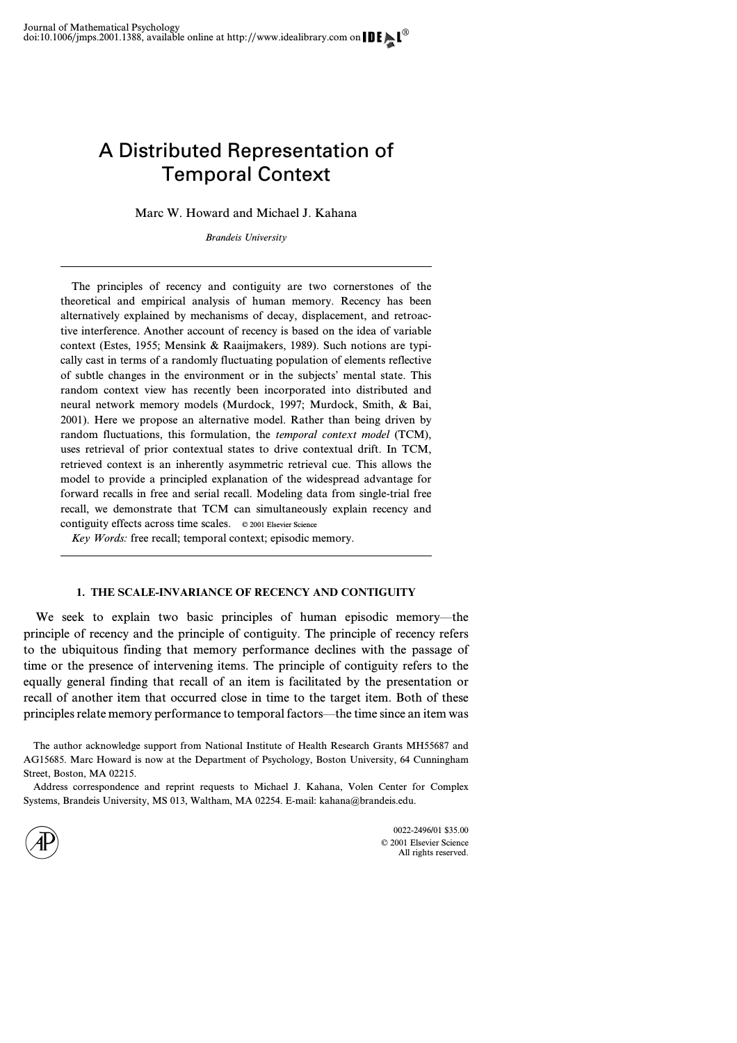# A Distributed Representation of Temporal Context

Marc W. Howard and Michael J. Kahana

*Brandeis University*

The principles of recency and contiguity are two cornerstones of the theoretical and empirical analysis of human memory. Recency has been alternatively explained by mechanisms of decay, displacement, and retroactive interference. Another account of recency is based on the idea of variable context (Estes, 1955; Mensink & Raaijmakers, 1989). Such notions are typically cast in terms of a randomly fluctuating population of elements reflective of subtle changes in the environment or in the subjects' mental state. This random context view has recently been incorporated into distributed and neural network memory models (Murdock, 1997; Murdock, Smith, & Bai, 2001). Here we propose an alternative model. Rather than being driven by random fluctuations, this formulation, the *temporal context model* (TCM), uses retrieval of prior contextual states to drive contextual drift. In TCM, retrieved context is an inherently asymmetric retrieval cue. This allows the model to provide a principled explanation of the widespread advantage for forward recalls in free and serial recall. Modeling data from single-trial free recall, we demonstrate that TCM can simultaneously explain recency and contiguity effects across time scales. © 2001 Elsevier Science

*Key Words:* free recall; temporal context; episodic memory.

# **1. THE SCALE-INVARIANCE OF RECENCY AND CONTIGUITY**

We seek to explain two basic principles of human episodic memory—the principle of recency and the principle of contiguity. The principle of recency refers to the ubiquitous finding that memory performance declines with the passage of time or the presence of intervening items. The principle of contiguity refers to the equally general finding that recall of an item is facilitated by the presentation or recall of another item that occurred close in time to the target item. Both of these principles relate memory performance to temporal factors—the time since an item was

The author acknowledge support from National Institute of Health Research Grants MH55687 and AG15685. Marc Howard is now at the Department of Psychology, Boston University, 64 Cunningham Street, Boston, MA 02215.

Address correspondence and reprint requests to Michael J. Kahana, Volen Center for Complex Systems, Brandeis University, MS 013, Waltham, MA 02254. E-mail: kahana@brandeis.edu.

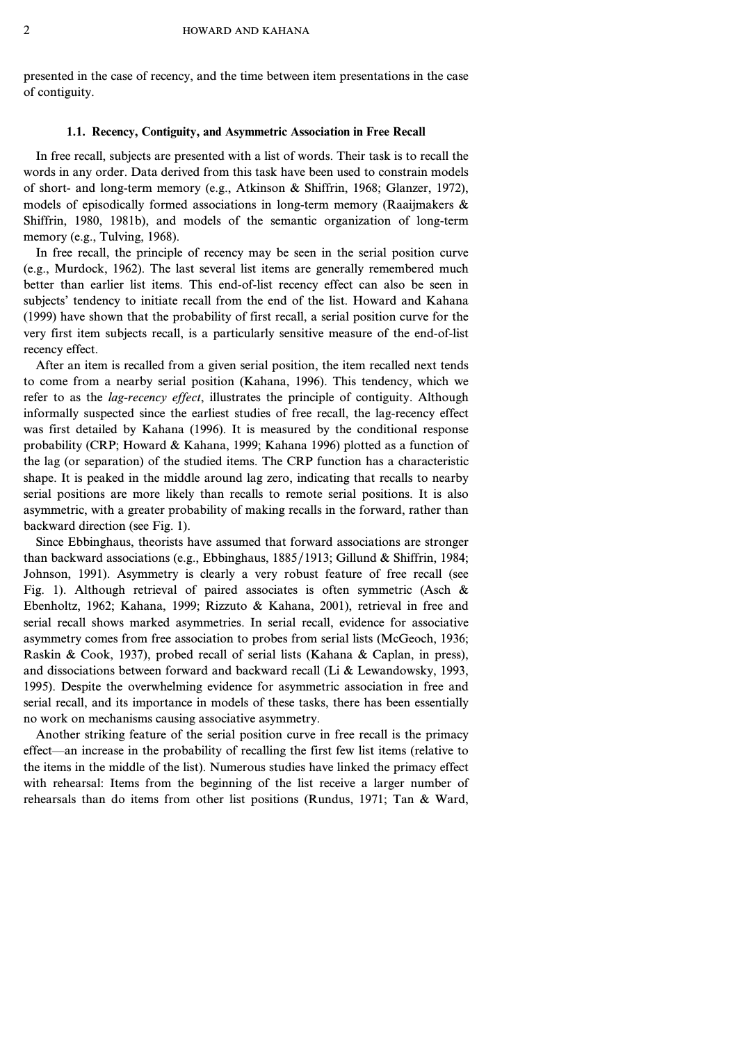presented in the case of recency, and the time between item presentations in the case of contiguity.

# **1.1. Recency, Contiguity, and Asymmetric Association in Free Recall**

In free recall, subjects are presented with a list of words. Their task is to recall the words in any order. Data derived from this task have been used to constrain models of short- and long-term memory (e.g., Atkinson & Shiffrin, 1968; Glanzer, 1972), models of episodically formed associations in long-term memory (Raaijmakers  $\&$ Shiffrin, 1980, 1981b), and models of the semantic organization of long-term memory (e.g., Tulving, 1968).

In free recall, the principle of recency may be seen in the serial position curve (e.g., Murdock, 1962). The last several list items are generally remembered much better than earlier list items. This end-of-list recency effect can also be seen in subjects' tendency to initiate recall from the end of the list. Howard and Kahana (1999) have shown that the probability of first recall, a serial position curve for the very first item subjects recall, is a particularly sensitive measure of the end-of-list recency effect.

After an item is recalled from a given serial position, the item recalled next tends to come from a nearby serial position (Kahana, 1996). This tendency, which we refer to as the *lag-recency effect*, illustrates the principle of contiguity. Although informally suspected since the earliest studies of free recall, the lag-recency effect was first detailed by Kahana (1996). It is measured by the conditional response probability (CRP; Howard & Kahana, 1999; Kahana 1996) plotted as a function of the lag (or separation) of the studied items. The CRP function has a characteristic shape. It is peaked in the middle around lag zero, indicating that recalls to nearby serial positions are more likely than recalls to remote serial positions. It is also asymmetric, with a greater probability of making recalls in the forward, rather than backward direction (see Fig. 1).

Since Ebbinghaus, theorists have assumed that forward associations are stronger than backward associations (e.g., Ebbinghaus, 1885/1913; Gillund & Shiffrin, 1984; Johnson, 1991). Asymmetry is clearly a very robust feature of free recall (see Fig. 1). Although retrieval of paired associates is often symmetric (Asch  $\&$ Ebenholtz, 1962; Kahana, 1999; Rizzuto & Kahana, 2001), retrieval in free and serial recall shows marked asymmetries. In serial recall, evidence for associative asymmetry comes from free association to probes from serial lists (McGeoch, 1936; Raskin & Cook, 1937), probed recall of serial lists (Kahana & Caplan, in press), and dissociations between forward and backward recall (Li  $\&$  Lewandowsky, 1993, 1995). Despite the overwhelming evidence for asymmetric association in free and serial recall, and its importance in models of these tasks, there has been essentially no work on mechanisms causing associative asymmetry.

Another striking feature of the serial position curve in free recall is the primacy effect—an increase in the probability of recalling the first few list items (relative to the items in the middle of the list). Numerous studies have linked the primacy effect with rehearsal: Items from the beginning of the list receive a larger number of rehearsals than do items from other list positions (Rundus, 1971; Tan & Ward,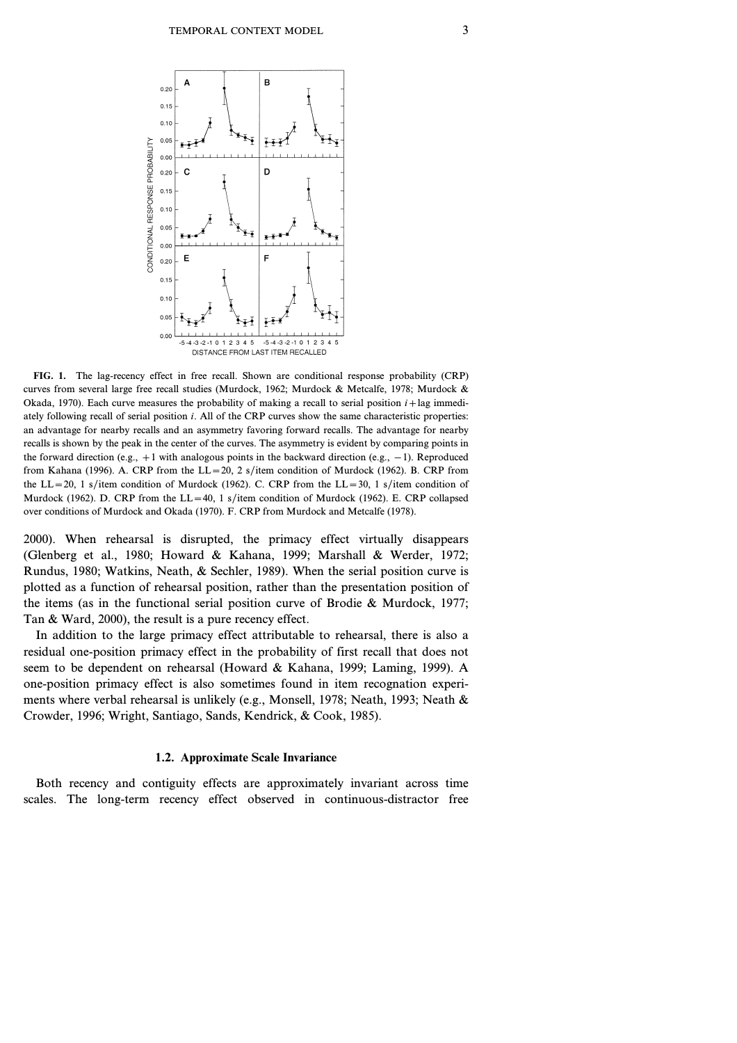

**FIG. 1.** The lag-recency effect in free recall. Shown are conditional response probability (CRP) curves from several large free recall studies (Murdock, 1962; Murdock & Metcalfe, 1978; Murdock & Okada, 1970). Each curve measures the probability of making a recall to serial position  $i+$ lag immediately following recall of serial position *i*. All of the CRP curves show the same characteristic properties: an advantage for nearby recalls and an asymmetry favoring forward recalls. The advantage for nearby recalls is shown by the peak in the center of the curves. The asymmetry is evident by comparing points in the forward direction (e.g., *+1* with analogous points in the backward direction (e.g., *− 1*). Reproduced from Kahana (1996). A. CRP from the  $LL=20$ , 2 s/item condition of Murdock (1962). B. CRP from the LL=20, 1 s/item condition of Murdock (1962). C. CRP from the LL=30, 1 s/item condition of Murdock (1962). D. CRP from the LL=40, 1 s/item condition of Murdock (1962). E. CRP collapsed over conditions of Murdock and Okada (1970). F. CRP from Murdock and Metcalfe (1978).

2000). When rehearsal is disrupted, the primacy effect virtually disappears (Glenberg et al., 1980; Howard & Kahana, 1999; Marshall & Werder, 1972; Rundus, 1980; Watkins, Neath, & Sechler, 1989). When the serial position curve is plotted as a function of rehearsal position, rather than the presentation position of the items (as in the functional serial position curve of Brodie & Murdock, 1977; Tan & Ward, 2000), the result is a pure recency effect.

In addition to the large primacy effect attributable to rehearsal, there is also a residual one-position primacy effect in the probability of first recall that does not seem to be dependent on rehearsal (Howard & Kahana, 1999; Laming, 1999). A one-position primacy effect is also sometimes found in item recognation experiments where verbal rehearsal is unlikely (e.g., Monsell, 1978; Neath, 1993; Neath & Crowder, 1996; Wright, Santiago, Sands, Kendrick, & Cook, 1985).

#### **1.2. Approximate Scale Invariance**

Both recency and contiguity effects are approximately invariant across time scales. The long-term recency effect observed in continuous-distractor free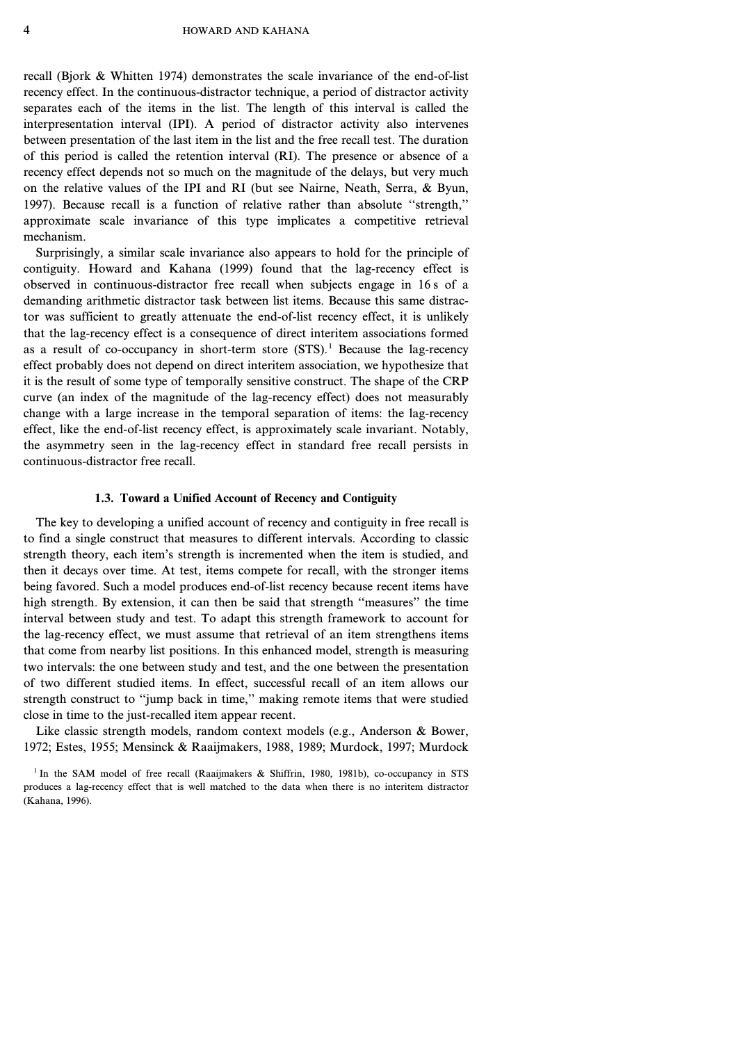4 HOWARD AND KAHANA

recall (Bjork & Whitten 1974) demonstrates the scale invariance of the end-of-list recency effect. In the continuous-distractor technique, a period of distractor activity separates each of the items in the list. The length of this interval is called the interpresentation interval (IPI). A period of distractor activity also intervenes between presentation of the last item in the list and the free recall test. The duration of this period is called the retention interval (RI). The presence or absence of a recency effect depends not so much on the magnitude of the delays, but very much on the relative values of the IPI and RI (but see Nairne, Neath, Serra,  $\&$  Byun, 1997). Because recall is a function of relative rather than absolute ''strength,'' approximate scale invariance of this type implicates a competitive retrieval mechanism.

Surprisingly, a similar scale invariance also appears to hold for the principle of contiguity. Howard and Kahana (1999) found that the lag-recency effect is observed in continuous-distractor free recall when subjects engage in 16 s of a demanding arithmetic distractor task between list items. Because this same distractor was sufficient to greatly attenuate the end-of-list recency effect, it is unlikely that the lag-recency effect is a consequence of direct interitem associations formed as a result of co-occupancy in short-term store  $(STS)$ .<sup>1</sup> Because the lag-recency effect probably does not depend on direct interitem association, we hypothesize that it is the result of some type of temporally sensitive construct. The shape of the CRP curve (an index of the magnitude of the lag-recency effect) does not measurably change with a large increase in the temporal separation of items: the lag-recency effect, like the end-of-list recency effect, is approximately scale invariant. Notably, the asymmetry seen in the lag-recency effect in standard free recall persists in continuous-distractor free recall.

# 1.3. Toward a Unified Account of Recency and Contiguity

The key to developing a unified account of recency and contiguity in free recall is to find a single construct that measures to different intervals. According to classic strength theory, each item's strength is incremented when the item is studied, and then it decays over time. At test, items compete for recall, with the stronger items being favored. Such a model produces end-of-list recency because recent items have high strength. By extension, it can then be said that strength ''measures'' the time interval between study and test. To adapt this strength framework to account for the lag-recency effect, we must assume that retrieval of an item strengthens items that come from nearby list positions. In this enhanced model, strength is measuring two intervals: the one between study and test, and the one between the presentation of two different studied items. In effect, successful recall of an item allows our strength construct to ''jump back in time,'' making remote items that were studied close in time to the just-recalled item appear recent.

Like classic strength models, random context models (e.g., Anderson & Bower, 1972; Estes, 1955; Mensinck & Raaijmakers, 1988, 1989; Murdock, 1997; Murdock

<sup>&</sup>lt;sup>1</sup> In the SAM model of free recall (Raaijmakers & Shiffrin, 1980, 1981b), co-occupancy in STS produces a lag-recency effect that is well matched to the data when there is no interitem distractor (Kahana, 1996).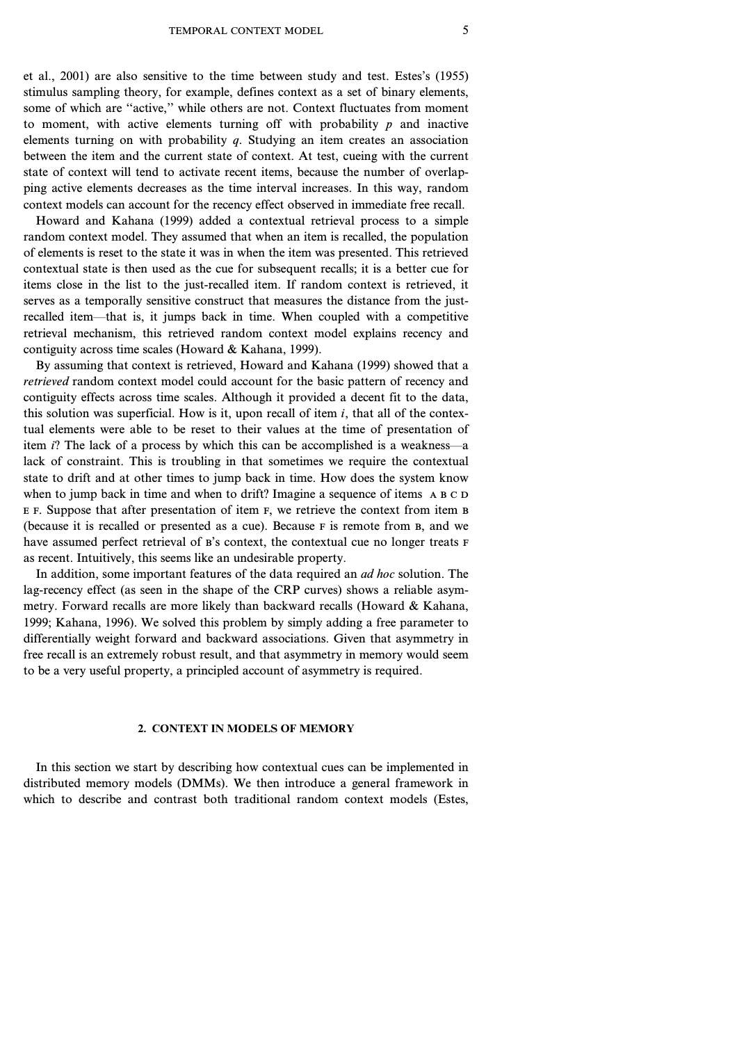et al., 2001) are also sensitive to the time between study and test. Estes's (1955) stimulus sampling theory, for example, defines context as a set of binary elements, some of which are ''active,'' while others are not. Context fluctuates from moment to moment, with active elements turning off with probability  $p$  and inactive elements turning on with probability *q*. Studying an item creates an association between the item and the current state of context. At test, cueing with the current state of context will tend to activate recent items, because the number of overlapping active elements decreases as the time interval increases. In this way, random context models can account for the recency effect observed in immediate free recall.

Howard and Kahana (1999) added a contextual retrieval process to a simple random context model. They assumed that when an item is recalled, the population ofelements is reset to the state it was in when the item was presented. This retrieved contextual state is then used as the cue for subsequent recalls; it is a better cue for items close in the list to the just-recalled item. If random context is retrieved, it serves as a temporally sensitive construct that measures the distance from the justrecalled item—that is, it jumps back in time. When coupled with a competitive retrieval mechanism, this retrieved random context model explains recency and contiguity across time scales (Howard & Kahana, 1999).

By assuming that context is retrieved, Howard and Kahana (1999) showed that a *retrieved* random context model could account for the basic pattern of recency and contiguity effects across time scales. Although it provided a decent fit to the data, this solution was superficial. How is it, upon recall of item  $i$ , that all of the contextual elements were able to be reset to their values at the time of presentation of item *i*? The lack of a process by which this can be accomplished is a weakness—a lack of constraint. This is troubling in that sometimes we require the contextual state to drift and at other times to jump back in time. How does the system know when to jump back in time and when to drift? Imagine a sequence of items  $A B C D$  $E$  F. Suppose that after presentation of item  $F$ , we retrieve the context from item  $B$ (because it is recalled or presented as a cue). Because F is remote from B, and we have assumed perfect retrieval of B's context, the contextual cue no longer treats F as recent. Intuitively, this seems like an undesirable property.

In addition, some important features of the data required an *ad hoc* solution. The lag-recency effect (as seen in the shape of the CRP curves) shows a reliable asymmetry. Forward recalls are more likely than backward recalls (Howard & Kahana, 1999; Kahana, 1996). We solved this problem by simply adding a free parameter to differentially weight forward and backward associations. Given that asymmetry in free recall is an extremely robust result, and that asymmetry in memory would seem to be a very useful property, a principled account of asymmetry is required.

#### **2. CONTEXT IN MODELS OF MEMORY**

In this section we start by describing how contextual cues can be implemented in distributed memory models (DMMs). We then introduce a general framework in which to describe and contrast both traditional random context models (Estes,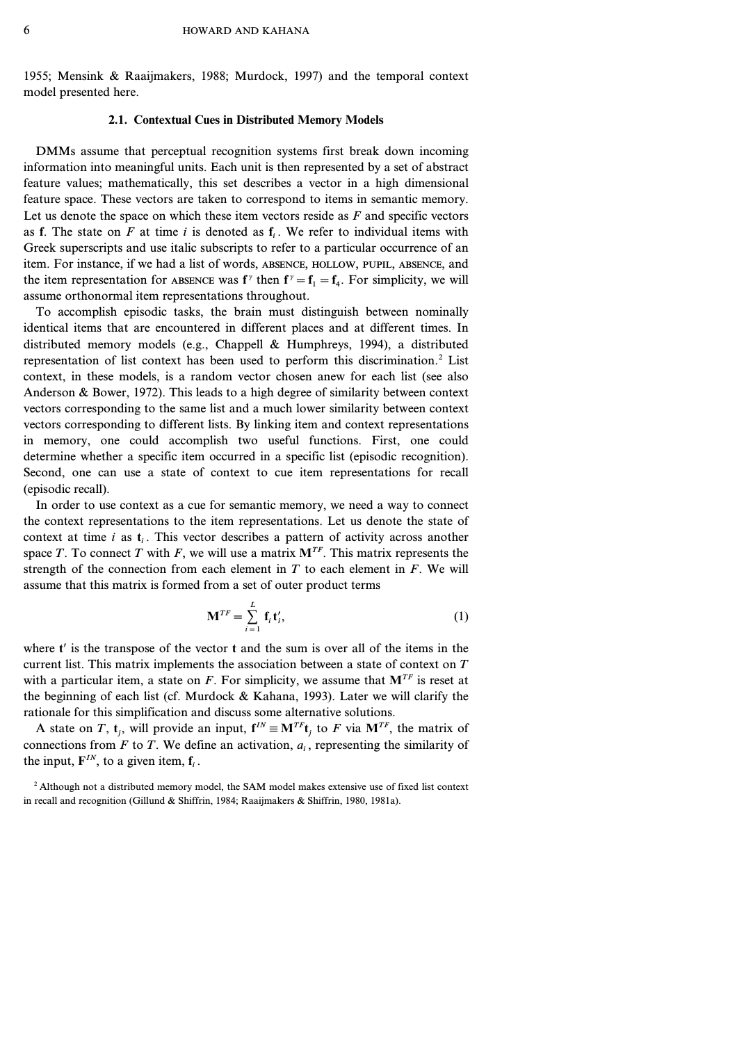1955; Mensink & Raaijmakers, 1988; Murdock, 1997) and the temporal context model presented here.

# 2.1. Contextual Cues in Distributed Memory Models

DMMs assume that perceptual recognition systems first break down incoming information into meaningful units. Each unit is then represented by a set of abstract feature values; mathematically, this set describes a vector in a high dimensional feature space. These vectors are taken to correspond to items in semantic memory. Let us denote the space on which these item vectors reside as *F* and specific vectors as **f**. The state on  $F$  at time  $i$  is denoted as  $f_i$ . We refer to individual items with Greek superscripts and use italic subscripts to refer to a particular occurrence of an item. For instance, if we had a list of words, ABSENCE, HOLLOW, PUPIL, ABSENCE, and the item representation for ABSENCE was  $f^{\gamma}$  then  $f^{\gamma} = f_1 = f_4$ . For simplicity, we will assume orthonormal item representations throughout.

To accomplish episodic tasks, the brain must distinguish between nominally identical items that are encountered in different places and at different times. In distributed memory models (e.g., Chappell & Humphreys, 1994), a distributed representation of list context has been used to perform this discrimination.<sup>2</sup> List context, in these models, is a random vector chosen anew for each list (see also Anderson & Bower, 1972). This leads to a high degree of similarity between context vectors corresponding to the same list and a much lower similarity between context vectors corresponding to different lists. By linking item and context representations in memory, one could accomplish two useful functions. First, one could determine whether a specific item occurred in a specific list (episodic recognition). Second, one can use a state of context to cue item representations for recall (episodic recall).

In order to use context as a cue for semantic memory, we need a way to connect the context representations to the item representations. Let us denote the state of context at time  $i$  as  $t_i$ . This vector describes a pattern of activity across another space *T*. To connect *T* with *F*, we will use a matrix  $M^{TF}$ . This matrix represents the strength of the connection from each element in  $T$  to each element in  $F$ . We will assume that this matrix is formed from a set of outer product terms

$$
\mathbf{M}^{TF} = \sum_{i=1}^{L} \mathbf{f}_i \mathbf{t}'_i, \tag{1}
$$

where  $t'$  is the transpose of the vector  $t'$  and the sum is over all of the items in the current list. This matrix implements the association between a state of context on T with a particular item, a state on *F*. For simplicity, we assume that  $M^{TF}$  is reset at the beginning of each list (cf. Murdock & Kahana, 1993). Later we will clarify the rationale for this simplification and discuss some alternative solutions.

A state on *T*, **t**<sub>*j*</sub>, will provide an input,  $f^{\textit{IN}} \equiv M^{\textit{TF}}t$ , to *F* via  $M^{\textit{TF}}$ , the matrix of connections from  $F$  to  $T$ . We define an activation,  $a_i$ , representing the similarity of the input,  $\mathbf{F}^{IN}$ , to a given item,  $\mathbf{f}_i$ .

 $2$  Although not a distributed memory model, the SAM model makes extensive use of fixed list context in recall and recognition (Gillund & Shiffrin, 1984; Raaijmakers & Shiffrin, 1980, 1981a).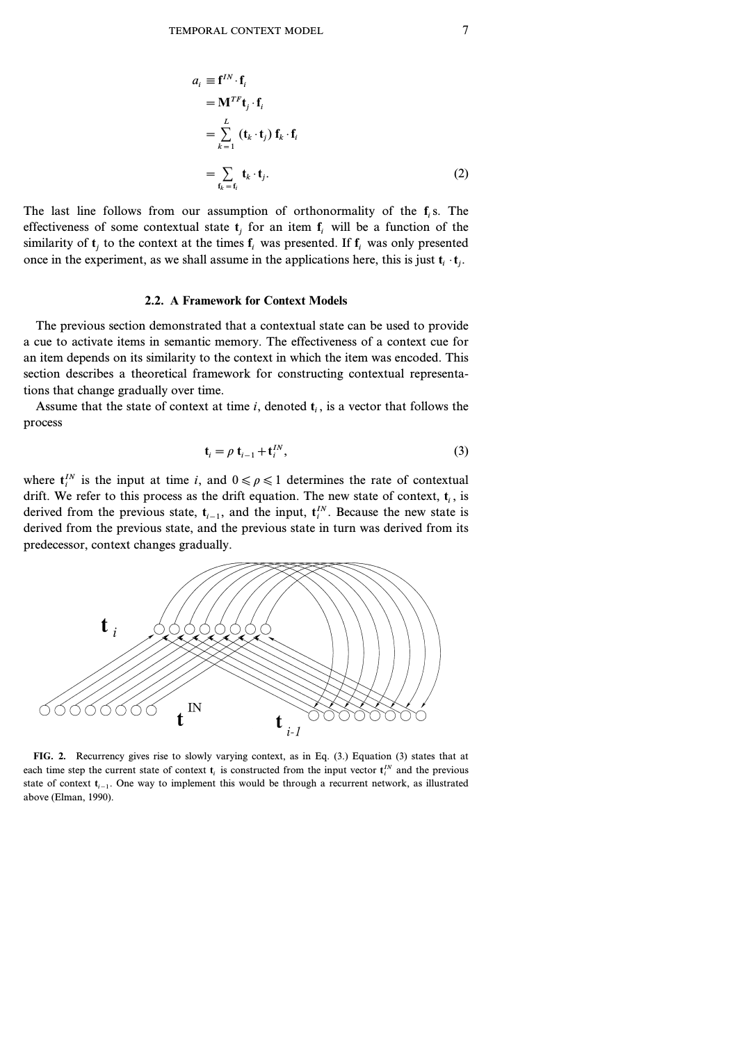$$
a_i \equiv \mathbf{f}^{IN} \cdot \mathbf{f}_i
$$
  
\n
$$
= \mathbf{M}^{TF} \mathbf{t}_j \cdot \mathbf{f}_i
$$
  
\n
$$
= \sum_{k=1}^{L} (\mathbf{t}_k \cdot \mathbf{t}_j) \mathbf{f}_k \cdot \mathbf{f}_i
$$
  
\n
$$
= \sum_{\mathbf{f}_k = \mathbf{f}_i} \mathbf{t}_k \cdot \mathbf{t}_j.
$$
 (2)

The last line follows from our assumption of orthonormality of the **f***i*s. The effectiveness of some contextual state  $t_i$  for an item  $f_i$  will be a function of the similarity of  $t_i$  to the context at the times  $f_i$  was presented. If  $f_i$  was only presented once in the experiment, as we shall assume in the applications here, this is just  $\mathbf{t}_i \cdot \mathbf{t}_j$ .

#### **2.2. A Framework for Context Models**

The previous section demonstrated that a contextual state can be used to provide a cue to activate items in semantic memory. The effectiveness of a context cue for an item depends on its similarity to the context in which the item was encoded. This section describes a theoretical framework for constructing contextual representations that change gradually over time.

Assume that the state of context at time  $i$ , denoted  $t_i$ , is a vector that follows the process

$$
\mathbf{t}_{i} = \rho \mathbf{t}_{i-1} + \mathbf{t}_{i}^{IN},\tag{3}
$$

where  $\mathbf{t}^{IN}_i$  is the input at time *i*, and  $0 \leq \rho \leq 1$  determines the rate of contextual drift. We refer to this process as the drift equation. The new state of context,  $t_i$ , is derived from the previous state,  $t_{i-1}$ , and the input,  $t_i^{IN}$ . Because the new state is derived from the previous state, and the previous state in turn was derived from its predecessor, context changes gradually.



**FIG. 2.** Recurrency gives rise to slowly varying context, as in Eq. (3.) Equation (3) states that at each time step the current state of context  $t_i$  is constructed from the input vector  $t_i^N$  and the previous state of context **t**<sub>*i*−1</sub>. One way to implement this would be through a recurrent network, as illustrated above (Elman, 1990).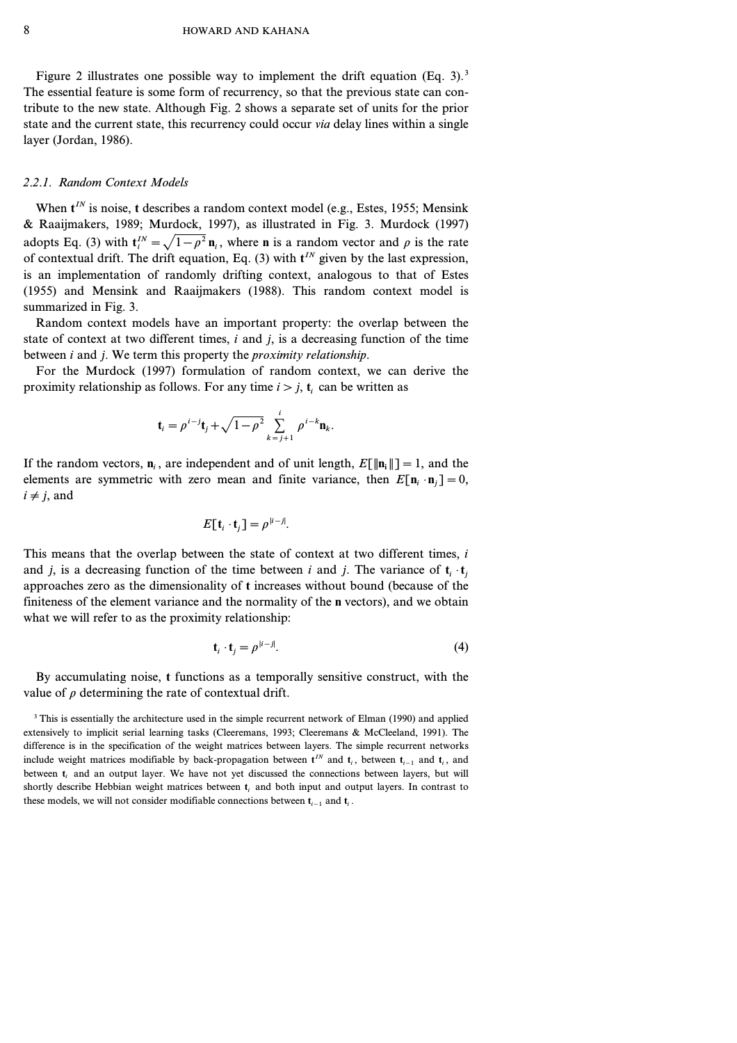Figure 2 illustrates one possible way to implement the drift equation (Eq. 3).<sup>3</sup> The essential feature is some form of recurrency, so that the previous state can contribute to the new state. Although Fig. 2 shows a separate set ofunits for the prior state and the current state, this recurrency could occur *via* delay lines within a single layer (Jordan, 1986).

#### *2.2.1. Random Context Models*

When  $t^N$  is noise, t describes a random context model (e.g., Estes, 1955; Mensink & Raaijmakers, 1989; Murdock, 1997), as illustrated in Fig. 3. Murdock (1997) adopts Eq. (3) with  $\mathbf{t}^{IN}_{i} = \sqrt{1 - \rho^2} \mathbf{n}_i$ , where **n** is a random vector and  $\rho$  is the rate of contextual drift. The drift equation, Eq. (3) with  $t^N$  given by the last expression, is an implementation of randomly drifting context, analogous to that of Estes (1955) and Mensink and Raaijmakers (1988). This random context model is summarized in Fig. 3.

Random context models have an important property: the overlap between the state of context at two different times, *i* and *j*, is a decreasing function of the time between *i* and *j*. We term this property the *proximity relationship*.

For the Murdock (1997) formulation of random context, we can derive the proximity relationship as follows. For any time  $i > j$ ,  $t_i$  can be written as

$$
\mathbf{t}_{i} = \rho^{i-j}\mathbf{t}_{j} + \sqrt{1-\rho^{2}}\sum_{k=j+1}^{i} \rho^{i-k}\mathbf{n}_{k}.
$$

If the random vectors,  $\mathbf{n}_i$ , are independent and of unit length,  $E[\Vert \mathbf{n}_i \Vert] = 1$ , and the elements are symmetric with zero mean and finite variance, then  $E[\mathbf{n}_i \cdot \mathbf{n}_j] = 0$ ,  $i \neq j$ , and

$$
E[\mathbf{t}_{i} \cdot \mathbf{t}_{j}] = \rho^{|i-j|}.
$$

This means that the overlap between the state of context at two different times, *i* and *j*, is a decreasing function of the time between *i* and *j*. The variance of  $\mathbf{t}_i \cdot \mathbf{t}_j$ approaches zero as the dimensionality of **t** increases without bound (because ofthe finiteness of the element variance and the normality of the **n** vectors), and we obtain what we will refer to as the proximity relationship:

$$
\mathbf{t}_i \cdot \mathbf{t}_j = \rho^{|i-j|}.\tag{4}
$$

By accumulating noise, **t** functions as a temporally sensitive construct, with the value of  $\rho$  determining the rate of contextual drift.

<sup>&</sup>lt;sup>3</sup> This is essentially the architecture used in the simple recurrent network of Elman (1990) and applied extensively to implicit serial learning tasks (Cleeremans, 1993; Cleeremans & McCleeland, 1991). The difference is in the specification of the weight matrices between layers. The simple recurrent networks include weight matrices modifiable by back-propagation between  $t^{IN}$  and  $t_i$ , between  $t_{i-1}$  and  $t_i$ , and between **t***<sup>i</sup>* and an output layer. We have not yet discussed the connections between layers, but will shortly describe Hebbian weight matrices between **t***<sup>i</sup>* and both input and output layers. In contrast to these models, we will not consider modifiable connections between  $t_{i-1}$  and  $t_i$ .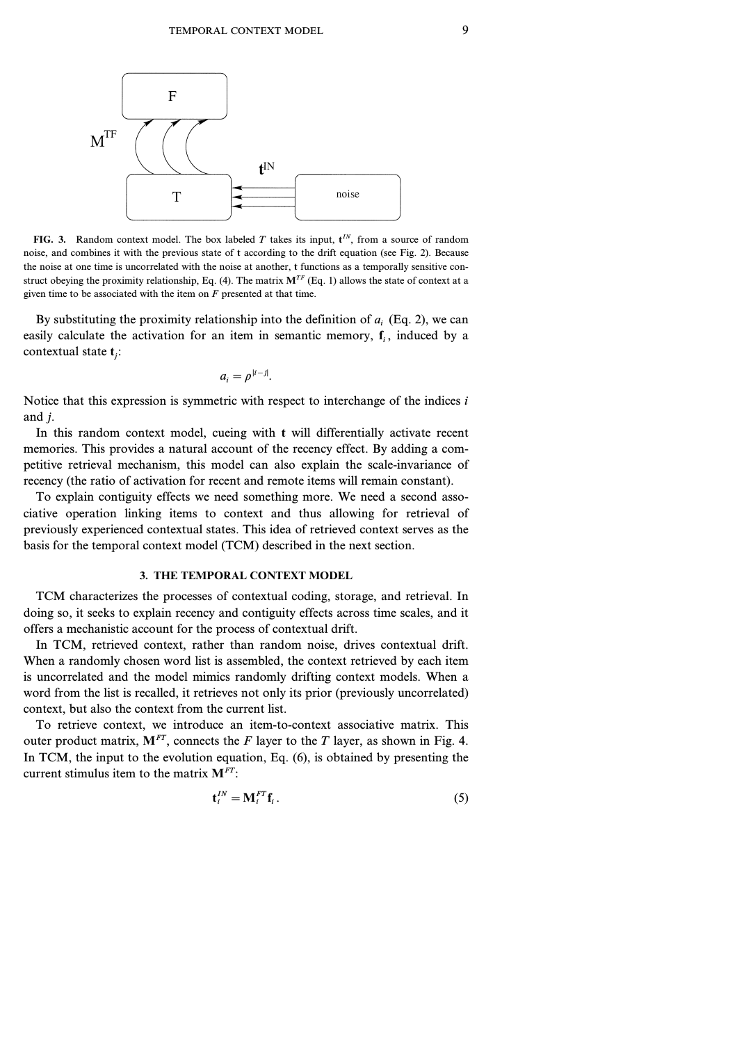

**FIG. 3.** Random context model. The box labeled *T* takes its input,  $\mathbf{t}^{I N}$ , from a source of random noise, and combines it with the previous state of **t** according to the drift equation (see Fig. 2). Because the noise at one time is uncorrelated with the noise at another, **t** functions as a temporally sensitive construct obeying the proximity relationship, Eq. (4). The matrix  $M^{TF}$  (Eq. 1) allows the state of context at a given time to be associated with the item on *F* presented at that time.

By substituting the proximity relationship into the definition of  $a_i$  (Eq. 2), we can easily calculate the activation for an item in semantic memory,  $f_i$ , induced by a contextual state **t***j*:

$$
a_i=\rho^{|i-j|}.
$$

Notice that this expression is symmetric with respect to interchange of the indices *i* and *j*.

In this random context model, cueing with **t** will differentially activate recent memories. This provides a natural account of the recency effect. By adding a competitive retrieval mechanism, this model can also explain the scale-invariance of recency (the ratio of activation for recent and remote items will remain constant).

To explain contiguity effects we need something more. We need a second associative operation linking items to context and thus allowing for retrieval of previously experienced contextual states. This idea of retrieved context serves as the basis for the temporal context model (TCM) described in the next section.

# **3. THE TEMPORAL CONTEXT MODEL**

TCM characterizes the processes of contextual coding, storage, and retrieval. In doing so, it seeks to explain recency and contiguity effects across time scales, and it offers a mechanistic account for the process of contextual drift.

In TCM, retrieved context, rather than random noise, drives contextual drift. When a randomly chosen word list is assembled, the context retrieved by each item is uncorrelated and the model mimics randomly drifting context models. When a word from the list is recalled, it retrieves not only its prior (previously uncorrelated) context, but also the context from the current list.

To retrieve context, we introduce an item-to-context associative matrix. This outer product matrix, **M***FT*, connects the *F* layer to the *T* layer, as shown in Fig. 4. In TCM, the input to the evolution equation, Eq. (6), is obtained by presenting the current stimulus item to the matrix **M***FT*:

$$
\mathbf{t}_{i}^{IN} = \mathbf{M}_{i}^{FT} \mathbf{f}_{i} \,. \tag{5}
$$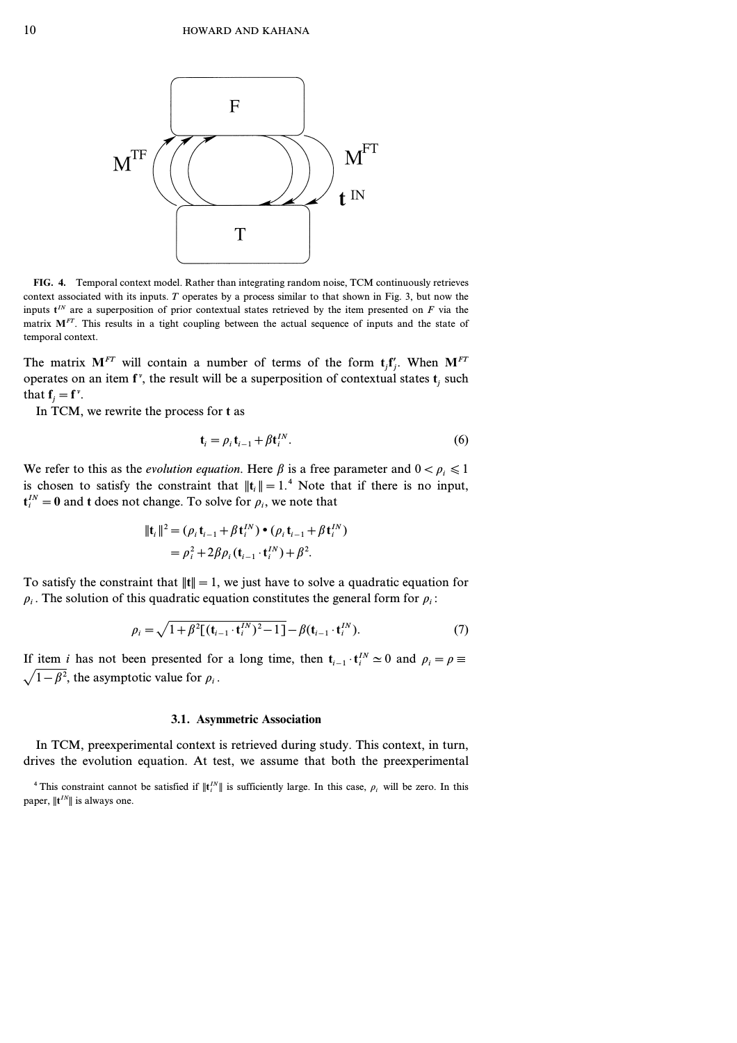

**FIG. 4.** Temporal context model. Rather than integrating random noise, TCM continuously retrieves context associated with its inputs. *T* operates by a process similar to that shown in Fig. 3, but now the inputs  $t^{IN}$  are a superposition of prior contextual states retrieved by the item presented on  $F$  via the matrix M<sup>FT</sup>. This results in a tight coupling between the actual sequence of inputs and the state of temporal context.

The matrix  $M^{FT}$  will contain a number of terms of the form  $t_j f'_j$ . When  $M^{FT}$ operates on an item  $f^*$ , the result will be a superposition of contextual states  $f^j$  such that  $f_j = f^{\nu}$ .

In TCM, we rewrite the process for **t** as

$$
\mathbf{t}_{i} = \rho_{i} \, \mathbf{t}_{i-1} + \beta \mathbf{t}_{i}^{IN}.
$$

We refer to this as the *evolution equation*. Here  $\beta$  is a free parameter and  $0 < \rho_i \leq 1$ is chosen to satisfy the constraint that  $||t_i|| = 1$ .<sup>4</sup> Note that if there is no input,  $\mathbf{t}^{IN}_{i} = \mathbf{0}$  and **t** does not change. To solve for  $\rho_i$ , we note that

$$
\begin{aligned} \|\mathbf{t}_i\|^2 &= (\rho_i \, \mathbf{t}_{i-1} + \beta \, \mathbf{t}_i^{IN}) \bullet (\rho_i \, \mathbf{t}_{i-1} + \beta \, \mathbf{t}_i^{IN}) \\ &= \rho_i^2 + 2\beta \rho_i \, (\mathbf{t}_{i-1} \cdot \mathbf{t}_i^{IN}) + \beta^2. \end{aligned}
$$

To satisfy the constraint that  $||\mathbf{t}|| = 1$ , we just have to solve a quadratic equation for  $\rho_i$ . The solution of this quadratic equation constitutes the general form for  $\rho_i$ :

$$
\rho_i = \sqrt{1 + \beta^2 \left[ (\mathbf{t}_{i-1} \cdot \mathbf{t}_i^{IN})^2 - 1 \right]} - \beta (\mathbf{t}_{i-1} \cdot \mathbf{t}_i^{IN}). \tag{7}
$$

If item *i* has not been presented for a long time, then  $\mathbf{t}_{i-1} \cdot \mathbf{t}_i^{IN} \approx 0$  and  $\rho_i = \rho \equiv$  $\sqrt{1 - \beta^2}$ , the asymptotic value for  $\rho_i$ .

#### **3.1. Asymmetric Association**

In TCM, preexperimental context is retrieved during study. This context, in turn, drives the evolution equation. At test, we assume that both the preexperimental

<sup>&</sup>lt;sup>4</sup> This constraint cannot be satisfied if  $||t_i^N||$  is sufficiently large. In this case,  $\rho_i$  will be zero. In this paper,  $||\mathbf{t}^{IN}||$  is always one.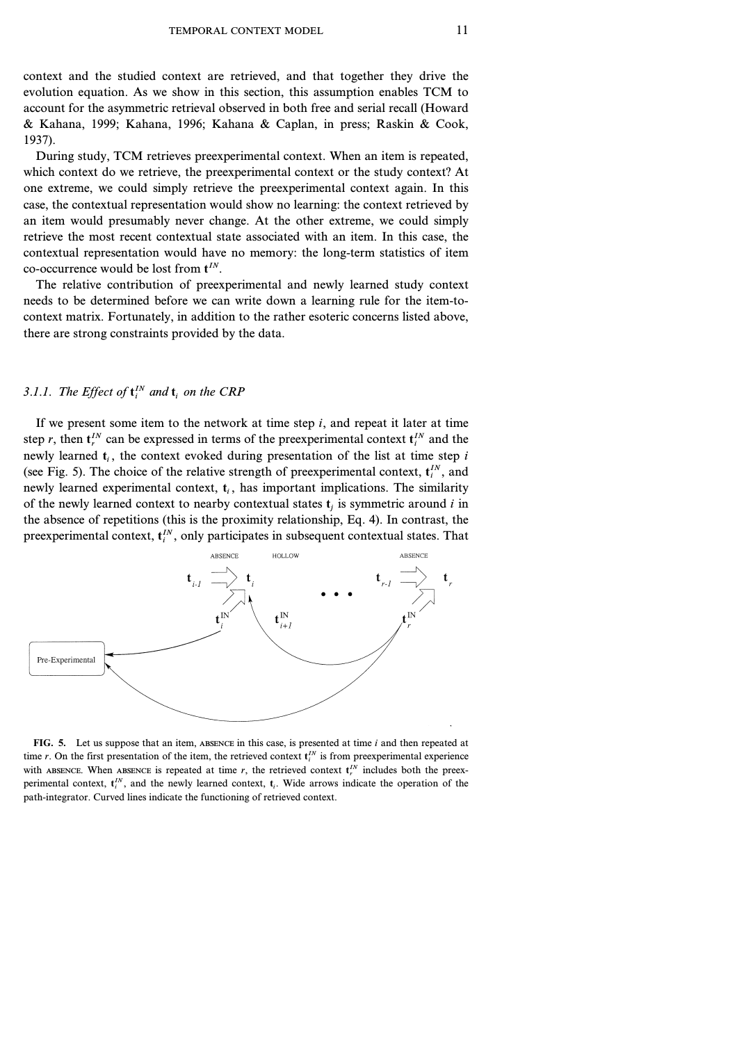context and the studied context are retrieved, and that together they drive the evolution equation. As we show in this section, this assumption enables TCM to account for the asymmetric retrieval observed in both free and serial recall (Howard & Kahana, 1999; Kahana, 1996; Kahana & Caplan, in press; Raskin & Cook, 1937).

During study, TCM retrieves preexperimental context. When an item is repeated, which context do we retrieve, the preexperimental context or the study context? At one extreme, we could simply retrieve the preexperimental context again. In this case, the contextual representation would show no learning: the context retrieved by an item would presumably never change. At the other extreme, we could simply retrieve the most recent contextual state associated with an item. In this case, the contextual representation would have no memory: the long-term statistics of item co-occurrence would be lost from  $t^{IN}$ .

The relative contribution of preexperimental and newly learned study context needs to be determined before we can write down a learning rule for the item-tocontext matrix. Fortunately, in addition to the rather esoteric concerns listed above, there are strong constraints provided by the data.

# *3.1.1. The Effect of*  $\mathbf{t}^{IN}_i$  *and*  $\mathbf{t}^i$  *on the CRP*

If we present some item to the network at time step  $i$ , and repeat it later at time step *r*, then  $t_i^N$  can be expressed in terms of the preexperimental context  $t_i^N$  and the newly learned  $t_i$ , the context evoked during presentation of the list at time step  $i$ (see Fig. 5). The choice of the relative strength of preexperimental context,  $t_i^N$ , and newly learned experimental context, **t***<sup>i</sup>* , has important implications. The similarity of the newly learned context to nearby contextual states  $t_i$  is symmetric around *i* in the absence of repetitions (this is the proximity relationship, Eq. 4). In contrast, the preexperimental context,  $t_i^N$ , only participates in subsequent contextual states. That



**FIG. 5.** Let us suppose that an item, absence in this case, is presented at time *i* and then repeated at time *r*. On the first presentation of the item, the retrieved context  $\mathbf{t}_i^N$  is from preexperimental experience with ABSENCE. When ABSENCE is repeated at time  $r$ , the retrieved context  $t_i^N$  includes both the preexperimental context,  $t_i^N$ , and the newly learned context,  $t_i$ . Wide arrows indicate the operation of the path-integrator. Curved lines indicate the functioning of retrieved context.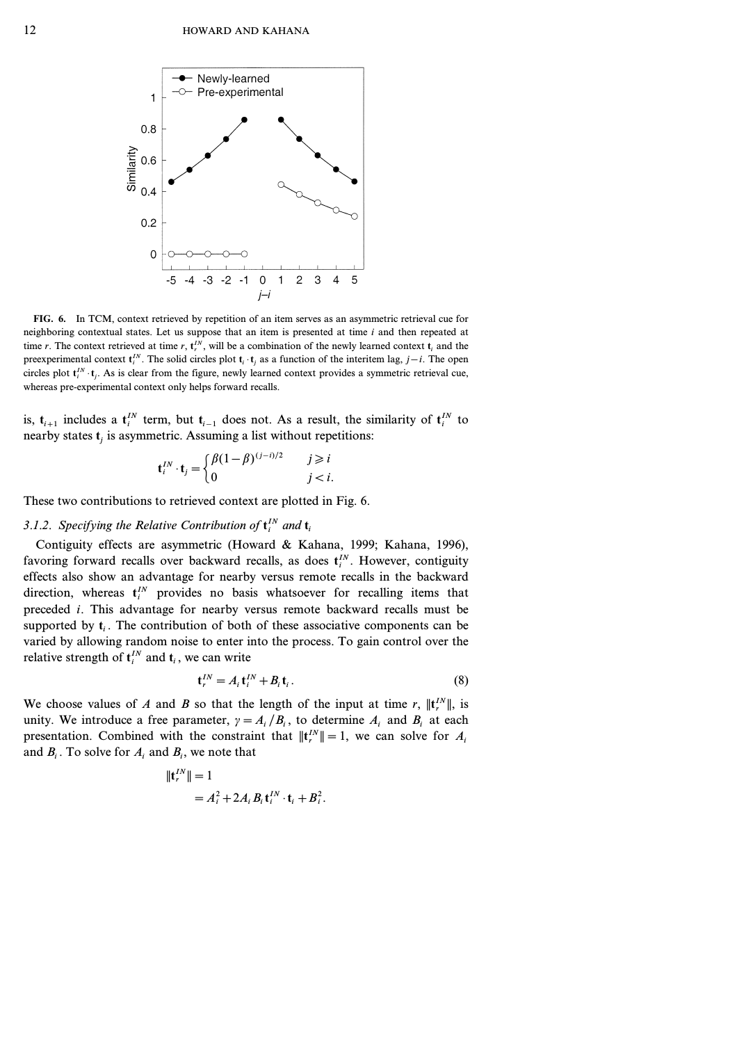

FIG. 6. In TCM, context retrieved by repetition of an item serves as an asymmetric retrieval cue for neighboring contextual states. Let us suppose that an item is presented at time *i* and then repeated at time *r*. The context retrieved at time *r*,  $t_i^N$ , will be a combination of the newly learned context  $t_i$  and the preexperimental context  $\mathbf{t}^{I,N}_i$ . The solid circles plot  $\mathbf{t}_i \cdot \mathbf{t}_j$  as a function of the interitem lag, *j*−*i*. The open circles plot  $t_i^N \cdot t_j$ . As is clear from the figure, newly learned context provides a symmetric retrieval cue, whereas pre-experimental context only helps forward recalls.

is,  $t_{i+1}$  includes a  $t_i^N$  term, but  $t_{i-1}$  does not. As a result, the similarity of  $t_i^N$  to nearby states **t***<sup>j</sup>* is asymmetric. Assuming a list without repetitions:

$$
\mathbf{t}_{i}^{IN} \cdot \mathbf{t}_{j} = \begin{cases} \beta(1-\beta)^{(j-i)/2} & j \geq i \\ 0 & j < i. \end{cases}
$$

These two contributions to retrieved context are plotted in Fig. 6.

# 3.1.2. Specifying the Relative Contribution of  $\mathbf{t}^{IN}_i$  and  $\mathbf{t}^{IN}_i$

Contiguity effects are asymmetric (Howard & Kahana, 1999; Kahana, 1996), favoring forward recalls over backward recalls, as does  $t_i^N$ . However, contiguity effects also show an advantage for nearby versus remote recalls in the backward direction, whereas  $t_i^N$  provides no basis whatsoever for recalling items that preceded *i*. This advantage for nearby versus remote backward recalls must be supported by  $t_i$ . The contribution of both of these associative components can be varied by allowing random noise to enter into the process. To gain control over the relative strength of  $\mathbf{t}^{IN}_i$  and  $\mathbf{t}_i$ , we can write

$$
\mathbf{t}_r^{IN} = A_i \mathbf{t}_i^{IN} + B_i \mathbf{t}_i. \tag{8}
$$

We choose values of *A* and *B* so that the length of the input at time *r*,  $||\mathbf{t}_r^{\text{IN}}||$ , is unity. We introduce a free parameter,  $\gamma = A_i / B_i$ , to determine  $A_i$  and  $B_i$  at each presentation. Combined with the constraint that  $||\mathbf{t}_r^{IN}|| = 1$ , we can solve for  $A_i$ and  $B_i$ . To solve for  $A_i$  and  $B_i$ , we note that

$$
\begin{aligned} \|\mathbf{t}_i^{\mathit{IN}}\| &= 1\\ &= A_i^2 + 2A_i B_i \mathbf{t}_i^{\mathit{IN}} \cdot \mathbf{t}_i + B_i^2. \end{aligned}
$$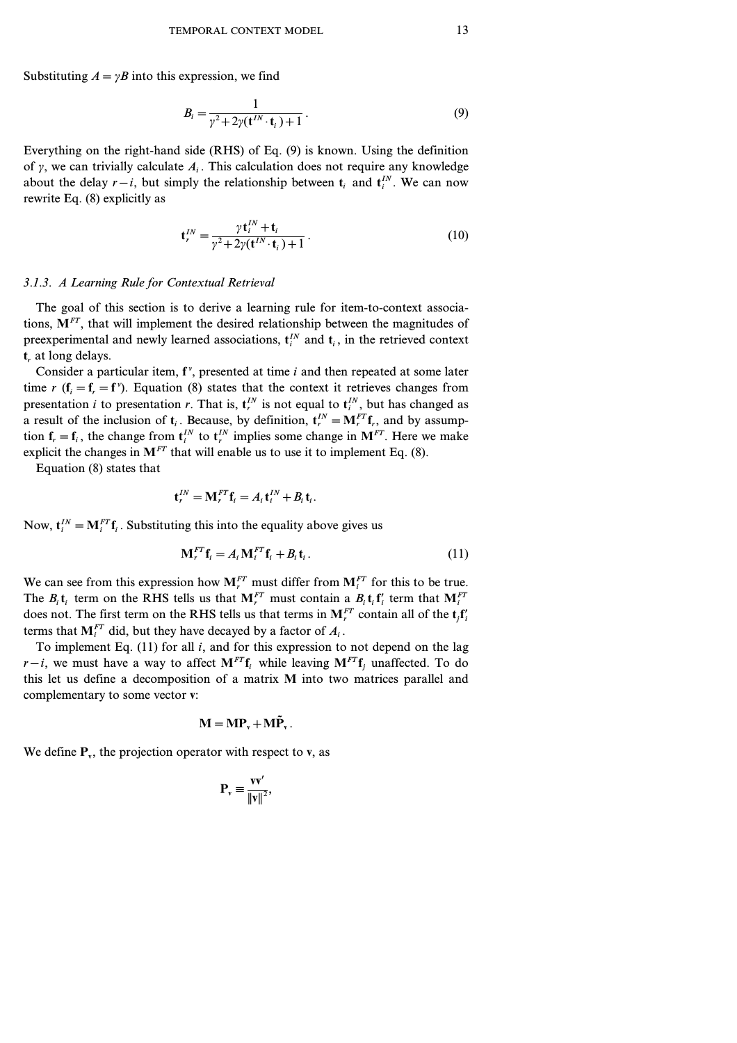Substituting  $A = \gamma B$  into this expression, we find

$$
B_i = \frac{1}{\gamma^2 + 2\gamma(\mathbf{t}^{IN} \cdot \mathbf{t}_i) + 1}.
$$
 (9)

Everything on the right-hand side  $(R)$  of Eq.  $(9)$  is known. Using the definition of  $\gamma$ , we can trivially calculate  $A_i$ . This calculation does not require any knowledge about the delay *r*−*i*, but simply the relationship between **t**<sub>*i*</sub> and **t**<sup>*IN*</sup>. We can now rewrite Eq. (8) explicitly as

$$
\mathbf{t}_r^{IN} = \frac{\gamma \mathbf{t}_i^{IN} + \mathbf{t}_i}{\gamma^2 + 2\gamma (\mathbf{t}^{IN} \cdot \mathbf{t}_i) + 1}.
$$
 (10)

#### *3.1.3. A Learning Rule for Contextual Retrieval*

The goal of this section is to derive a learning rule for item-to-context associations,  $M<sup>FT</sup>$ , that will implement the desired relationship between the magnitudes of preexperimental and newly learned associations,  $t_i^N$  and  $t_i$ , in the retrieved context **t***<sup>r</sup>* at long delays.

Consider a particular item,  $f^{\nu}$ , presented at time *i* and then repeated at some later time *r* ( $f_i = f_r = f$ ). Equation (8) states that the context it retrieves changes from presentation *i* to presentation *r*. That is,  $\mathbf{t}_{r}^{IN}$  is not equal to  $\mathbf{t}_{i}^{IN}$ , but has changed as a result of the inclusion of  $t_i$ . Because, by definition,  $t_r^N = M_r^{FT}f_r$ , and by assumption  $f_r = f_i$ , the change from  $f_i^N$  to  $f_r^N$  implies some change in  $M^{FT}$ . Here we make explicit the changes in  $M^{FT}$  that will enable us to use it to implement Eq. (8).

Equation (8) states that

$$
\mathbf{t}_r^{IN} = \mathbf{M}_r^{FT} \mathbf{f}_i = A_i \mathbf{t}_i^{IN} + B_i \mathbf{t}_i.
$$

Now,  $\mathbf{t}^{IN}_i = \mathbf{M}^{FT}_i \mathbf{f}_i$ . Substituting this into the equality above gives us

$$
\mathbf{M}_r^{FT} \mathbf{f}_i = A_i \mathbf{M}_i^{FT} \mathbf{f}_i + B_i \mathbf{t}_i. \tag{11}
$$

We can see from this expression how  $M_r^{FT}$  must differ from  $M_i^{FT}$  for this to be true. The  $B_i$ **t**<sub>*i*</sub> term on the RHS tells us that  $M_r^{FT}$  must contain a  $B_i$ **t**<sub>i</sub>t<sub>i</sub><sup>t</sup><sub>i</sub> term that  $M_i^{FT}$ does not. The first term on the RHS tells us that terms in  $M_r^{FT}$  contain all of the  $t_j f'_i$ terms that  $M_i^{FT}$  did, but they have decayed by a factor of  $A_i$ .

To implement Eq. (11) for all *i*, and for this expression to not depend on the lag *r−i*, we must have a way to affect **M***FT***f***<sup>i</sup>* while leaving **M***FT***f***<sup>j</sup>* unaffected. To do this let us define a decomposition of a matrix **M** into two matrices parallel and complementary to some vector **v**:

$$
\mathbf{M} = \mathbf{M} \mathbf{P}_{v} + \mathbf{M} \tilde{\mathbf{P}}_{v}.
$$

We define  $P_y$ , the projection operator with respect to **v**, as

$$
\mathbf{P}_v \equiv \frac{\mathbf{v}\mathbf{v}'}{\|\mathbf{v}\|^2},
$$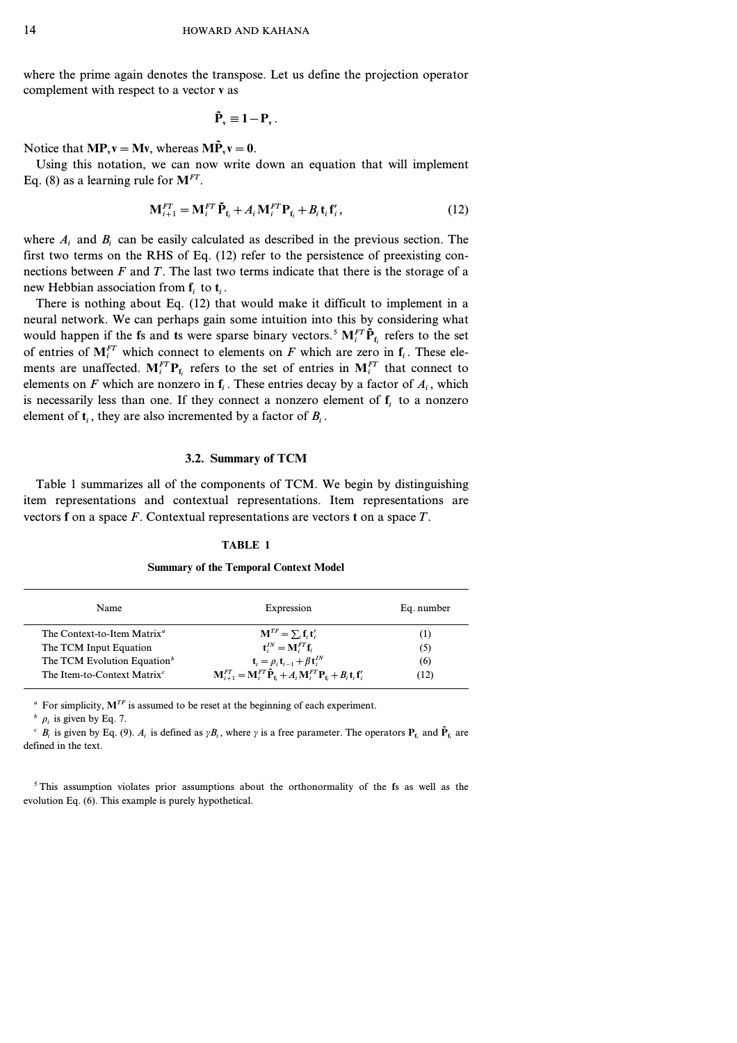where the prime again denotes the transpose. Let us define the projection operator complement with respect to a vector **v** as

$$
\tilde{\mathbf{P}}_{\mathbf{v}}\equiv 1-\mathbf{P}_{\mathbf{v}}.
$$

Notice that  $MP_v v = Mv$ , whereas  $MP_v v = 0$ .

Using this notation, we can now write down an equation that will implement Eq. (8) as a learning rule for **M***FT*.

$$
\mathbf{M}_{i+1}^{FT} = \mathbf{M}_i^{FT} \tilde{\mathbf{P}}_{\mathbf{f}_i} + A_i \mathbf{M}_i^{FT} \mathbf{P}_{\mathbf{f}_i} + B_i \mathbf{t}_i \mathbf{f}'_i, \qquad (12)
$$

where  $A_i$  and  $B_i$  can be easily calculated as described in the previous section. The first two terms on the RHS of Eq. (12) refer to the persistence of preexisting connections between  $F$  and  $T$ . The last two terms indicate that there is the storage of a new Hebbian association from **f***<sup>i</sup>* to **t***<sup>i</sup>* .

There is nothing about Eq. (12) that would make it difficult to implement in a neural network. We can perhaps gain some intuition into this by considering what would happen if the fs and ts were sparse binary vectors.<sup>5</sup>  $M_i^{FT} \tilde{P}_{f_i}$  refers to the set of entries of  $M_i^{FT}$  which connect to elements on *F* which are zero in  $f_i$ . These elements are unaffected.  $M_i^{FT}P_{f_i}$  refers to the set of entries in  $M_i^{FT}$  that connect to elements on *F* which are nonzero in  $f_i$ . These entries decay by a factor of  $A_i$ , which is necessarily less than one. If they connect a nonzero element of  $f_i$  to a nonzero element of  $t_i$ , they are also incremented by a factor of  $B_i$ .

## **3.2. Summary of TCM**

Table 1 summarizes all of the components of TCM. We begin by distinguishing item representations and contextual representations. Item representations are vectors **f** on a space *F*. Contextual representations are vectors **t** on a space *T*.

#### **TABLE 1**

#### **Summary of the Temporal Context Model**

| Name                                                 | Expression                                                                                                                                                     | Eq. number |
|------------------------------------------------------|----------------------------------------------------------------------------------------------------------------------------------------------------------------|------------|
| The Context-to-Item Matrix <sup>a</sup>              | $\mathbf{M}^{TF} = \sum_i \mathbf{f}_i \mathbf{t}'_i$                                                                                                          | (1)        |
| The TCM Input Equation                               | $\mathbf{t}^{IN} = \mathbf{M}^{FT} \mathbf{f}$ .                                                                                                               | (5)        |
| The TCM Evolution Equation <sup><math>b</math></sup> | $\mathbf{t}_{i} = \rho_{i} \mathbf{t}_{i-1} + \beta \mathbf{t}_{i}^{IN}$                                                                                       | (6)        |
| The Item-to-Context Matrix <sup>c</sup>              | $\mathbf{M}_{i+1}^{FT} = \mathbf{M}_{i}^{FT} \tilde{\mathbf{P}}_{i} + A_{i} \mathbf{M}_{i}^{FT} \mathbf{P}_{i} + B_{i} \mathbf{t}_{i} \mathbf{f}_{i}^{\prime}$ | (12)       |

*<sup>a</sup>* For simplicity, **M***TF* is assumed to be reset at the beginning ofeach experiment.

 $\frac{b}{\rho_i}$  is given by Eq. 7.

 $c^i$  *B*<sub>*i*</sub> is given by Eq. (9).  $A_i$  is defined as  $\gamma B_i$ , where  $\gamma$  is a free parameter. The operators  $P_{f_i}$  and  $\tilde{P}_{f_i}$  are defined in the text.

<sup>5</sup> This assumption violates prior assumptions about the orthonormality ofthe **f**s as well as the evolution Eq. (6). This example is purely hypothetical.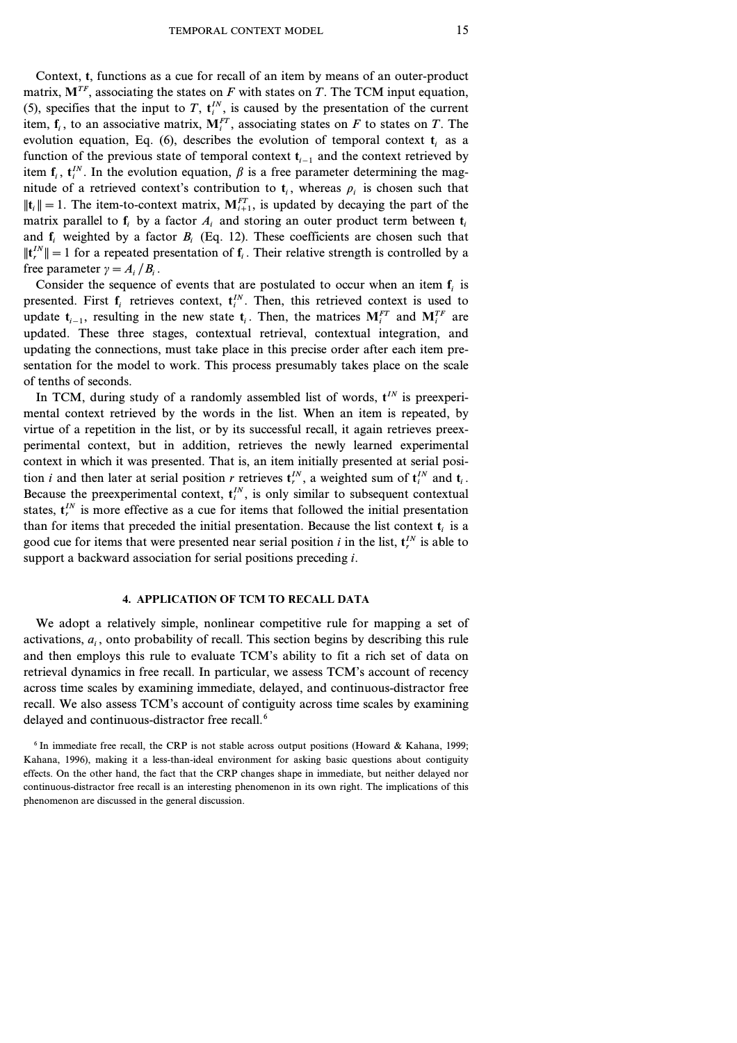Context, **t**, functions as a cue for recall of an item by means of an outer-product matrix,  $M^{TF}$ , associating the states on  $F$  with states on  $T$ . The TCM input equation, (5), specifies that the input to *T*,  $t_i^N$ , is caused by the presentation of the current item,  $f_i$ , to an associative matrix,  $M_i^{FT}$ , associating states on *F* to states on *T*. The evolution equation, Eq. (6), describes the evolution of temporal context  $t_i$  as a function of the previous state of temporal context **t**<sub>*i*−1</sub> and the context retrieved by item  $f_i$ ,  $f_i^N$ . In the evolution equation,  $\beta$  is a free parameter determining the magnitude of a retrieved context's contribution to  $t_i$ , whereas  $\rho_i$  is chosen such that  $||\mathbf{t}_i|| = 1$ . The item-to-context matrix,  $\mathbf{M}_{i+1}^{FT}$ , is updated by decaying the part of the matrix parallel to  $f_i$  by a factor  $A_i$  and storing an outer product term between  $f_i$ and  $f_i$  weighted by a factor  $B_i$  (Eq. 12). These coefficients are chosen such that  $||{\bf t}^{IN}_{r}|| = 1$  for a repeated presentation of  ${\bf f}_i$ . Their relative strength is controlled by a free parameter  $\gamma = A_i / B_i$ .

Consider the sequence of events that are postulated to occur when an item  $f_i$  is presented. First  $f_i$  retrieves context,  $f_i^N$ . Then, this retrieved context is used to update  $t_{i-1}$ , resulting in the new state  $t_i$ . Then, the matrices  $M_i^{FT}$  and  $M_i^{TF}$  are updated. These three stages, contextual retrieval, contextual integration, and updating the connections, must take place in this precise order after each item presentation for the model to work. This process presumably takes place on the scale of tenths of seconds.

In TCM, during study of a randomly assembled list of words,  $t^{IN}$  is preexperimental context retrieved by the words in the list. When an item is repeated, by virtue of a repetition in the list, or by its successful recall, it again retrieves preexperimental context, but in addition, retrieves the newly learned experimental context in which it was presented. That is, an item initially presented at serial position *i* and then later at serial position *r* retrieves  $\mathbf{t}_r^N$ , a weighted sum of  $\mathbf{t}_i^N$  and  $\mathbf{t}_i$ . Because the preexperimental context,  $t_i^N$ , is only similar to subsequent contextual states,  $t_r^N$  is more effective as a cue for items that followed the initial presentation than for items that preceded the initial presentation. Because the list context  $t_i$  is a good cue for items that were presented near serial position *i* in the list,  $t_r^N$  is able to support a backward association for serial positions preceding *i*.

# **4. APPLICATION OF TCM TO RECALL DATA**

We adopt a relatively simple, nonlinear competitive rule for mapping a set of activations,  $a_i$ , onto probability of recall. This section begins by describing this rule and then employs this rule to evaluate TCM's ability to fit a rich set of data on retrieval dynamics in free recall. In particular, we assess TCM's account of recency across time scales by examining immediate, delayed, and continuous-distractor free recall. We also assess TCM's account of contiguity across time scales by examining delayed and continuous-distractor free recall.<sup>6</sup>

 $6$  In immediate free recall, the CRP is not stable across output positions (Howard & Kahana, 1999; Kahana, 1996), making it a less-than-ideal environment for asking basic questions about contiguity effects. On the other hand, the fact that the CRP changes shape in immediate, but neither delayed nor continuous-distractor free recall is an interesting phenomenon in its own right. The implications of this phenomenon are discussed in the general discussion.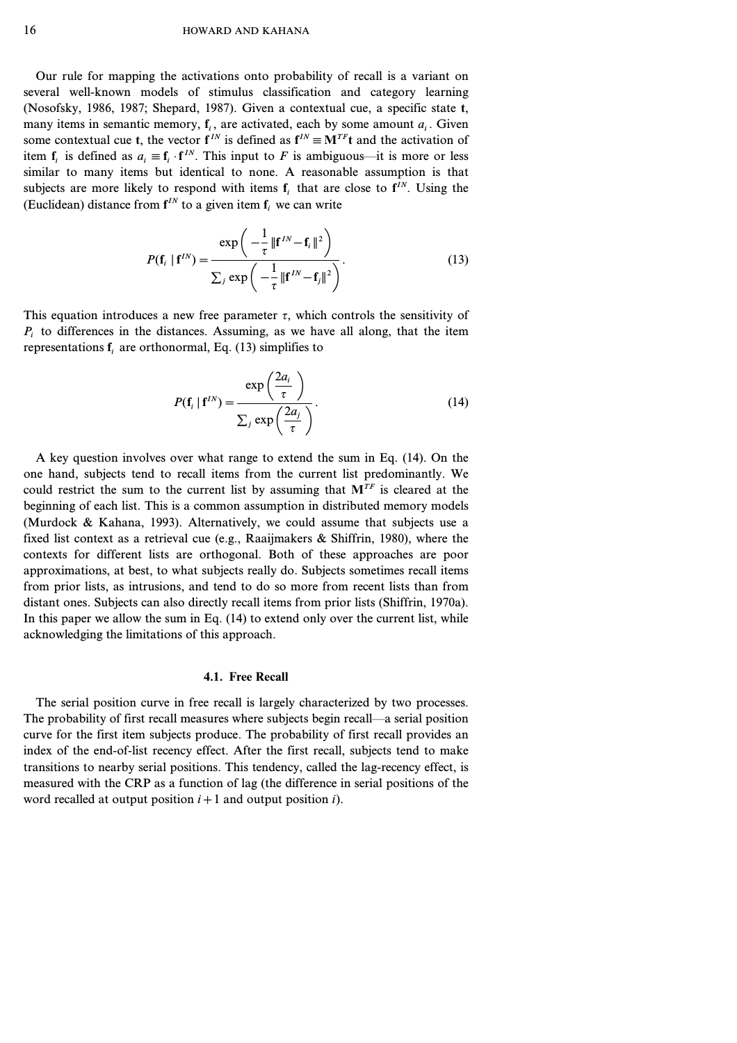Our rule for mapping the activations onto probability of recall is a variant on several well-known models of stimulus classification and category learning (Nosofsky, 1986, 1987; Shepard, 1987). Given a contextual cue, a specific state **t**, many items in semantic memory,  $f_i$ , are activated, each by some amount  $a_i$ . Given some contextual cue **t**, the vector  $f^{IN}$  is defined as  $f^{IN} \equiv M^{TF}t$  and the activation of item  $f_i$  is defined as  $a_i \equiv f_i \cdot f^{IN}$ . This input to *F* is ambiguous—it is more or less similar to many items but identical to none. A reasonable assumption is that subjects are more likely to respond with items  $f_i$  that are close to  $f^{I N}$ . Using the (Euclidean) distance from  $f^{IN}$  to a given item  $f_i$  we can write

$$
P(\mathbf{f}_i \mid \mathbf{f}^{IN}) = \frac{\exp\left(-\frac{1}{\tau} \|\mathbf{f}^{IN} - \mathbf{f}_i\|^2\right)}{\sum_j \exp\left(-\frac{1}{\tau} \|\mathbf{f}^{IN} - \mathbf{f}_j\|^2\right)}.
$$
 (13)

This equation introduces a new free parameter  $\tau$ , which controls the sensitivity of  $P_i$  to differences in the distances. Assuming, as we have all along, that the item representations  $f_i$  are orthonormal, Eq. (13) simplifies to

$$
P(\mathbf{f}_i | \mathbf{f}^{IN}) = \frac{\exp\left(\frac{2a_i}{\tau}\right)}{\sum_j \exp\left(\frac{2a_j}{\tau}\right)}.
$$
\n(14)

A key question involves over what range to extend the sum in Eq. (14). On the one hand, subjects tend to recall items from the current list predominantly. We could restrict the sum to the current list by assuming that  $M^{TF}$  is cleared at the beginning of each list. This is a common assumption in distributed memory models (Murdock & Kahana, 1993). Alternatively, we could assume that subjects use a fixed list context as a retrieval cue (e.g., Raaijmakers  $\&$  Shiffrin, 1980), where the contexts for different lists are orthogonal. Both of these approaches are poor approximations, at best, to what subjects really do. Subjects sometimes recall items from prior lists, as intrusions, and tend to do so more from recent lists than from distant ones. Subjects can also directly recall items from prior lists (Shiffrin, 1970a). In this paper we allow the sum in Eq. (14) to extend only over the current list, while acknowledging the limitations of this approach.

#### **4.1. Free Recall**

The serial position curve in free recall is largely characterized by two processes. The probability of first recall measures where subjects begin recall—a serial position curve for the first item subjects produce. The probability of first recall provides an index of the end-of-list recency effect. After the first recall, subjects tend to make transitions to nearby serial positions. This tendency, called the lag-recency effect, is measured with the CRP as a function of lag (the difference in serial positions of the word recalled at output position *i+1* and output position *i*).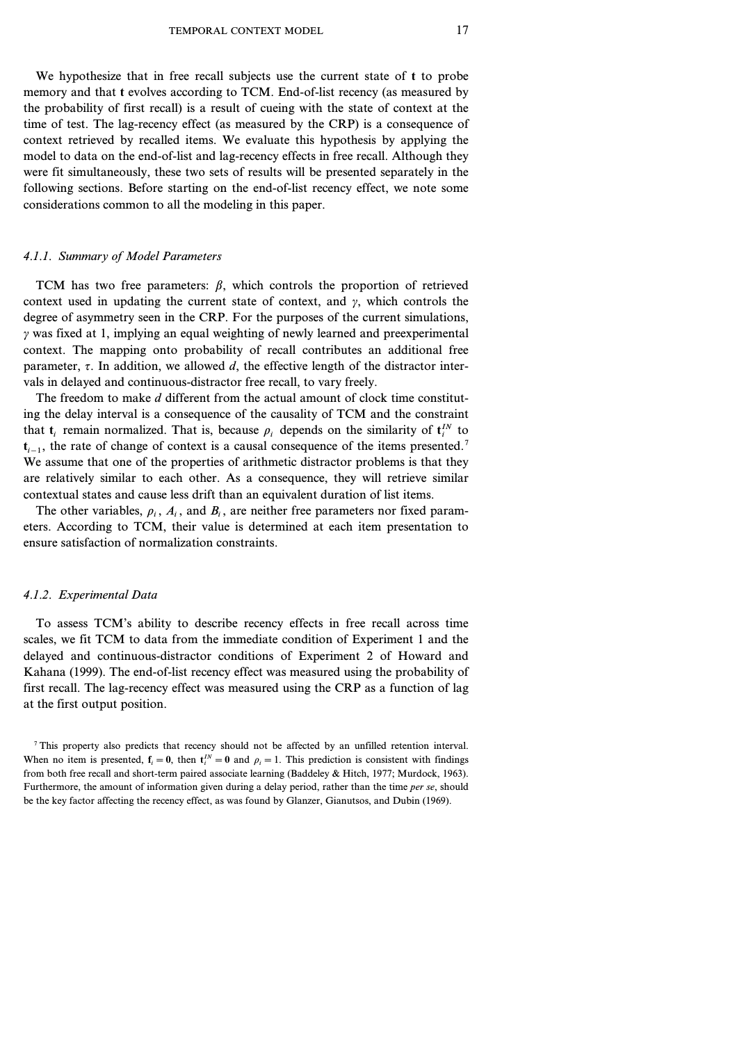We hypothesize that in free recall subjects use the current state of **t** to probe memory and that **t** evolves according to TCM. End-of-list recency (as measured by the probability of first recall) is a result of cueing with the state of context at the time of test. The lag-recency effect (as measured by the CRP) is a consequence of context retrieved by recalled items. We evaluate this hypothesis by applying the model to data on the end-of-list and lag-recency effects in free recall. Although they were fit simultaneously, these two sets of results will be presented separately in the following sections. Before starting on the end-of-list recency effect, we note some considerations common to all the modeling in this paper.

### *4.1.1. Summary of Model Parameters*

TCM has two free parameters:  $\beta$ , which controls the proportion of retrieved context used in updating the current state of context, and  $\gamma$ , which controls the degree of asymmetry seen in the CRP. For the purposes of the current simulations, *c* was fixed at 1, implying an equal weighting of newly learned and preexperimental context. The mapping onto probability of recall contributes an additional free parameter,  $\tau$ . In addition, we allowed *d*, the effective length of the distractor intervals in delayed and continuous-distractor free recall, to vary freely.

The freedom to make *d* different from the actual amount of clock time constituting the delay interval is a consequence of the causality of TCM and the constraint that  $\mathbf{t}_i$  remain normalized. That is, because  $\rho_i$  depends on the similarity of  $\mathbf{t}_i^{\text{IN}}$  to  $t_{i-1}$ , the rate of change of context is a causal consequence of the items presented.<sup>7</sup> We assume that one of the properties of arithmetic distractor problems is that they are relatively similar to each other. As a consequence, they will retrieve similar contextual states and cause less drift than an equivalent duration of list items.

The other variables,  $\rho_i$ ,  $A_i$ , and  $B_i$ , are neither free parameters nor fixed parameters. According to TCM, their value is determined at each item presentation to ensure satisfaction of normalization constraints.

#### *4.1.2. Experimental Data*

To assess TCM's ability to describe recency effects in free recall across time scales, we fit TCM to data from the immediate condition of Experiment 1 and the delayed and continuous-distractor conditions of Experiment 2 of Howard and Kahana (1999). The end-of-list recency effect was measured using the probability of first recall. The lag-recency effect was measured using the CRP as a function of lag at the first output position.

<sup>7</sup> This property also predicts that recency should not be affected by an unfilled retention interval. When no item is presented,  $f_i = 0$ , then  $f_i^N = 0$  and  $\rho_i = 1$ . This prediction is consistent with findings from both free recall and short-term paired associate learning (Baddeley & Hitch, 1977; Murdock, 1963). Furthermore, the amount of information given during a delay period, rather than the time *per se*, should be the key factor affecting the recency effect, as was found by Glanzer, Gianutsos, and Dubin (1969).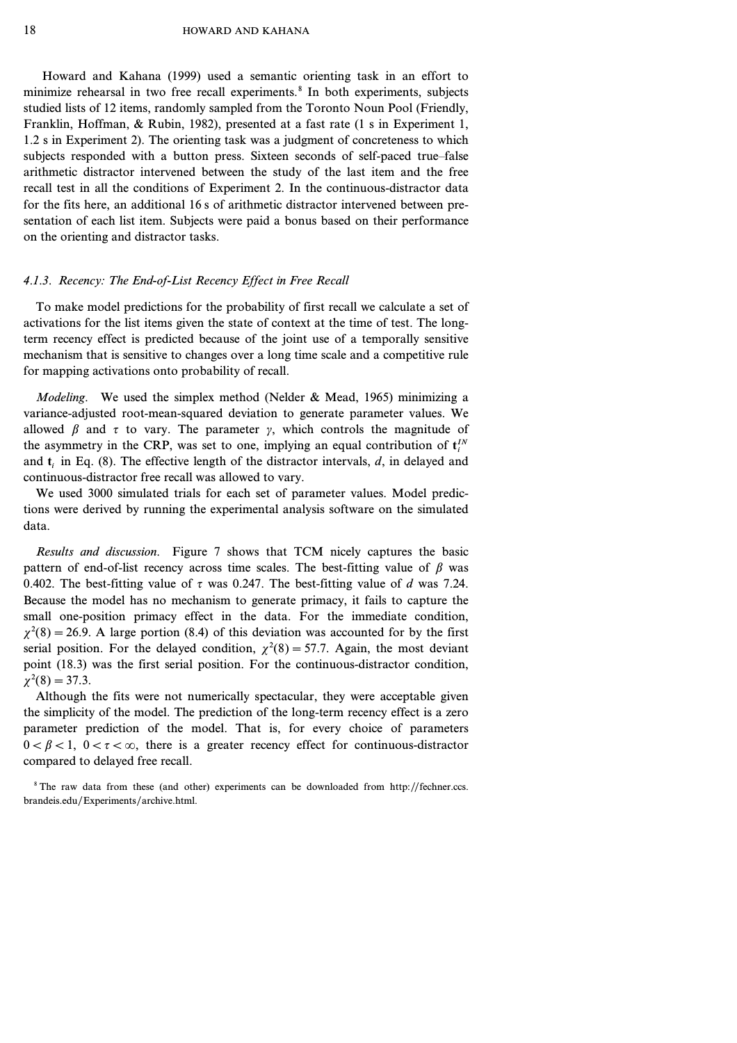Howard and Kahana (1999) used a semantic orienting task in an effort to minimize rehearsal in two free recall experiments.<sup>8</sup> In both experiments, subjects studied lists of 12 items, randomly sampled from the Toronto Noun Pool (Friendly, Franklin, Hoffman, & Rubin, 1982), presented at a fast rate (1 s in Experiment 1, 1.2 s in Experiment 2). The orienting task was a judgment of concreteness to which subjects responded with a button press. Sixteen seconds of self-paced true–false arithmetic distractor intervened between the study ofthe last item and the free recall test in all the conditions of Experiment 2. In the continuous-distractor data for the fits here, an additional 16 s of arithmetic distractor intervened between presentation of each list item. Subjects were paid a bonus based on their performance on the orienting and distractor tasks.

# *4.1.3. Recency: The End-of-List Recency Effect in Free Recall*

To make model predictions for the probability of first recall we calculate a set of activations for the list items given the state of context at the time of test. The longterm recency effect is predicted because of the joint use of a temporally sensitive mechanism that is sensitive to changes over a long time scale and a competitive rule for mapping activations onto probability of recall.

*Modeling.* We used the simplex method (Nelder & Mead, 1965) minimizing a variance-adjusted root-mean-squared deviation to generate parameter values. We allowed  $\beta$  and  $\tau$  to vary. The parameter  $\gamma$ , which controls the magnitude of the asymmetry in the CRP, was set to one, implying an equal contribution of  $\mathbf{t}^{IN}_{i}$ and **t***<sup>i</sup>* in Eq. (8). The effective length of the distractor intervals, *d*, in delayed and continuous-distractor free recall was allowed to vary.

We used 3000 simulated trials for each set of parameter values. Model predictions were derived by running the experimental analysis software on the simulated data.

*Results and discussion.* Figure 7 shows that TCM nicely captures the basic pattern of end-of-list recency across time scales. The best-fitting value of  $\beta$  was *0.402.* The best-fitting value of  $\tau$  was 0.247. The best-fitting value of *d* was 7.24. Because the model has no mechanism to generate primacy, it fails to capture the small one-position primacy effect in the data. For the immediate condition,  $\chi^2(8) = 26.9$ . A large portion (8.4) of this deviation was accounted for by the first serial position. For the delayed condition,  $\chi^2(8) = 57.7$ . Again, the most deviant point (*18.3*) was the first serial position. For the continuous-distractor condition,  $\chi^2(8) = 37.3$ .

Although the fits were not numerically spectacular, they were acceptable given the simplicity of the model. The prediction of the long-term recency effect is a zero parameter prediction of the model. That is, for every choice of parameters  $0 < \beta < 1$ ,  $0 < \tau < \infty$ , there is a greater recency effect for continuous-distractor compared to delayed free recall.

<sup>8</sup> The raw data from these (and other) experiments can be downloaded from http://fechner.ccs. brandeis.edu/Experiments/archive.html.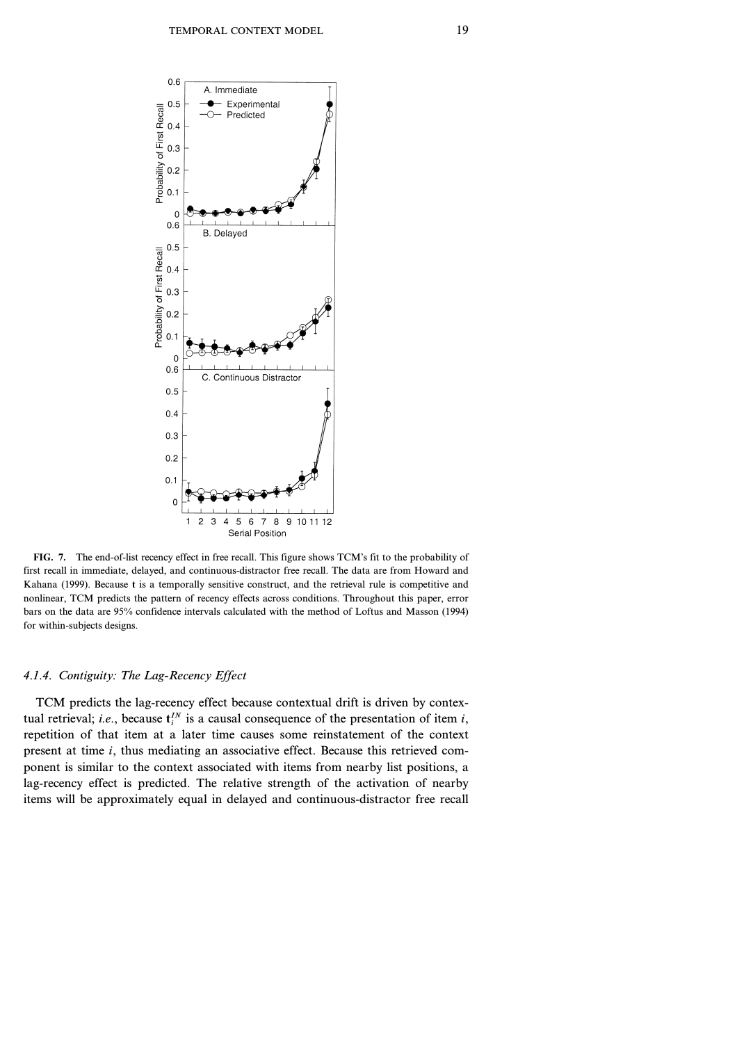

**FIG. 7.** The end-of-list recency effect in free recall. This figure shows TCM's fit to the probability of first recall in immediate, delayed, and continuous-distractor free recall. The data are from Howard and Kahana (1999). Because **t** is a temporally sensitive construct, and the retrieval rule is competitive and nonlinear, TCM predicts the pattern of recency effects across conditions. Throughout this paper, error bars on the data are 95% confidence intervals calculated with the method of Loftus and Masson (1994) for within-subjects designs.

# *4.1.4. Contiguity: The Lag-Recency Effect*

TCM predicts the lag-recency effect because contextual drift is driven by contextual retrieval; *i.e.*, because  $t_i^N$  is a causal consequence of the presentation of item *i*, repetition of that item at a later time causes some reinstatement of the context present at time *i*, thus mediating an associative effect. Because this retrieved component is similar to the context associated with items from nearby list positions, a lag-recency effect is predicted. The relative strength of the activation of nearby items will be approximately equal in delayed and continuous-distractor free recall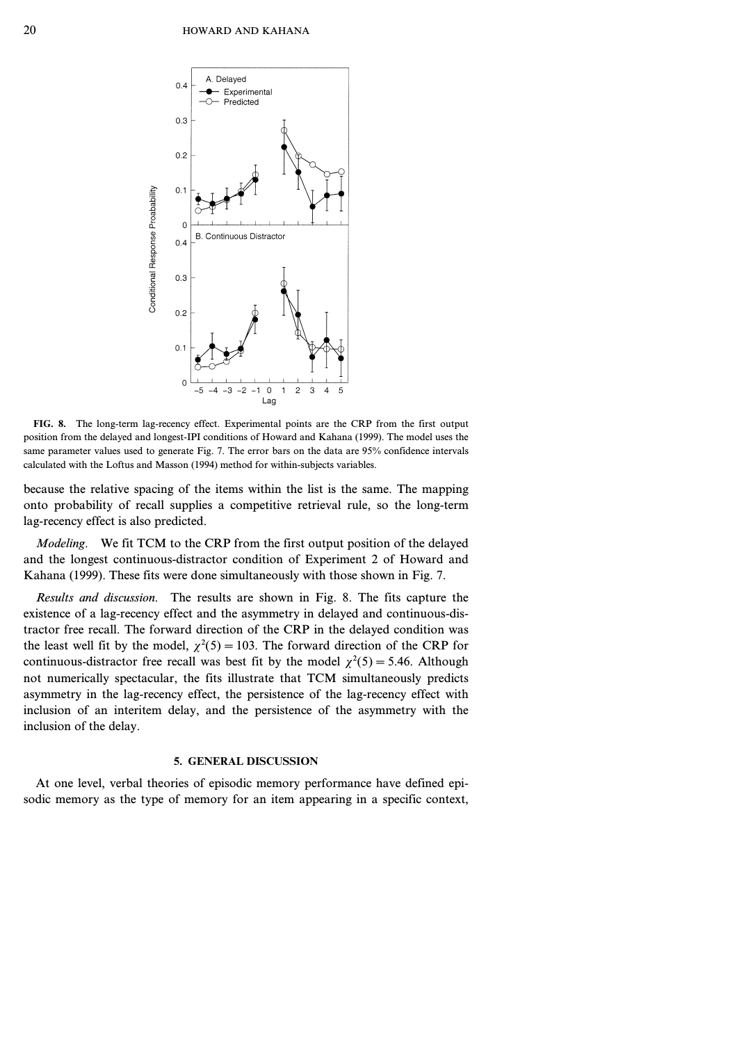

**FIG. 8.** The long-term lag-recency effect. Experimental points are the CRP from the first output position from the delayed and longest-IPI conditions of Howard and Kahana (1999). The model uses the same parameter values used to generate Fig. 7. The error bars on the data are 95% confidence intervals calculated with the Loftus and Masson (1994) method for within-subjects variables.

because the relative spacing of the items within the list is the same. The mapping onto probability of recall supplies a competitive retrieval rule, so the long-term lag-recency effect is also predicted.

*Modeling.* We fit TCM to the CRP from the first output position of the delayed and the longest continuous-distractor condition of Experiment 2 of Howard and Kahana (1999). These fits were done simultaneously with those shown in Fig. 7.

*Results and discussion.* The results are shown in Fig. 8. The fits capture the existence of a lag-recency effect and the asymmetry in delayed and continuous-distractor free recall. The forward direction of the CRP in the delayed condition was the least well fit by the model,  $\chi^2(5) = 103$ . The forward direction of the CRP for continuous-distractor free recall was best fit by the model  $\chi^2(5) = 5.46$ . Although not numerically spectacular, the fits illustrate that TCM simultaneously predicts asymmetry in the lag-recency effect, the persistence of the lag-recency effect with inclusion of an interitem delay, and the persistence of the asymmetry with the inclusion of the delay.

#### **5. GENERAL DISCUSSION**

At one level, verbal theories of episodic memory performance have defined episodic memory as the type of memory for an item appearing in a specific context,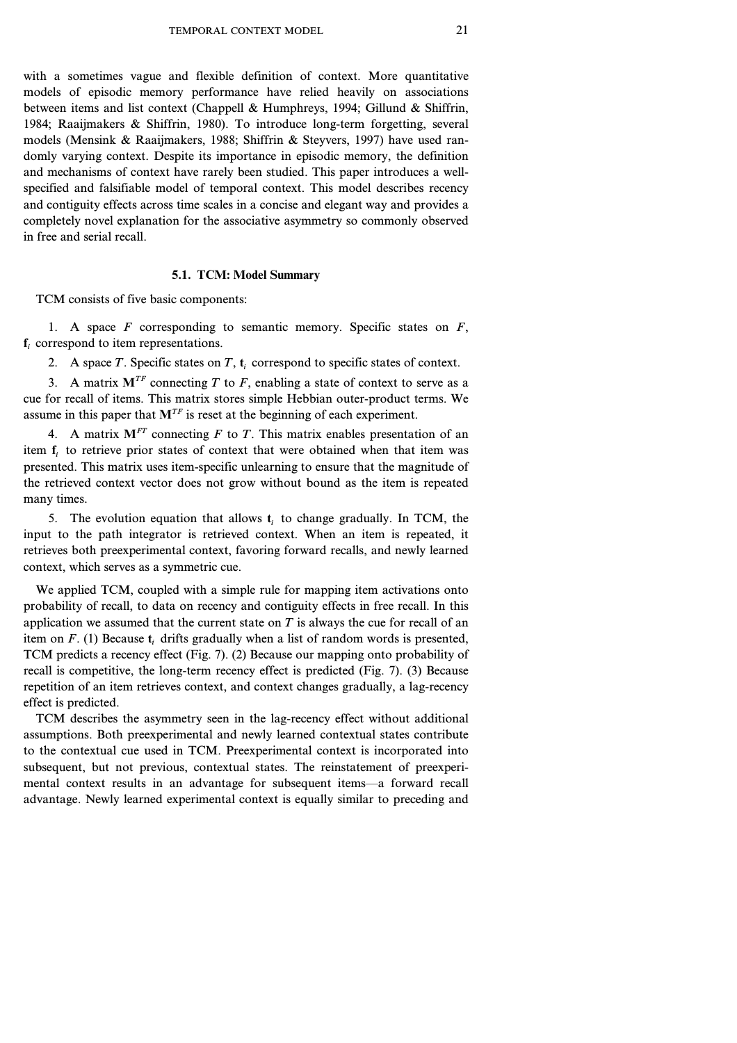with a sometimes vague and flexible definition of context. More quantitative models of episodic memory performance have relied heavily on associations between items and list context (Chappell & Humphreys, 1994; Gillund & Shiffrin, 1984; Raaijmakers & Shiffrin, 1980). To introduce long-term forgetting, several models (Mensink & Raaijmakers, 1988; Shiffrin & Steyvers, 1997) have used randomly varying context. Despite its importance in episodic memory, the definition and mechanisms of context have rarely been studied. This paper introduces a wellspecified and falsifiable model of temporal context. This model describes recency and contiguity effects across time scales in a concise and elegant way and provides a completely novel explanation for the associative asymmetry so commonly observed in free and serial recall.

# **5.1. TCM: Model Summary**

TCM consists of five basic components:

1. A space *F* corresponding to semantic memory. Specific states on *F*, **f***<sup>i</sup>* correspond to item representations.

2. A space *T*. Specific states on *T*, **t***<sup>i</sup>* correspond to specific states of context.

3. A matrix  $M^{TF}$  connecting *T* to *F*, enabling a state of context to serve as a cue for recall of items. This matrix stores simple Hebbian outer-product terms. We assume in this paper that  $M^{TF}$  is reset at the beginning of each experiment.

4. A matrix  $M^{FT}$  connecting F to T. This matrix enables presentation of an item **f**<sub>*i*</sub> to retrieve prior states of context that were obtained when that item was presented. This matrix uses item-specific unlearning to ensure that the magnitude of the retrieved context vector does not grow without bound as the item is repeated many times.

5. The evolution equation that allows **t***<sup>i</sup>* to change gradually. In TCM, the input to the path integrator is retrieved context. When an item is repeated, it retrieves both preexperimental context, favoring forward recalls, and newly learned context, which serves as a symmetric cue.

We applied TCM, coupled with a simple rule for mapping item activations onto probability of recall, to data on recency and contiguity effects in free recall. In this application we assumed that the current state on  $T$  is always the cue for recall of an item on *F*. (1) Because **t***<sup>i</sup>* drifts gradually when a list of random words is presented, TCM predicts a recency effect (Fig. 7). (2) Because our mapping onto probability of recall is competitive, the long-term recency effect is predicted (Fig. 7). (3) Because repetition of an item retrieves context, and context changes gradually, a lag-recency effect is predicted.

TCM describes the asymmetry seen in the lag-recency effect without additional assumptions. Both preexperimental and newly learned contextual states contribute to the contextual cue used in TCM. Preexperimental context is incorporated into subsequent, but not previous, contextual states. The reinstatement of preexperimental context results in an advantage for subsequent items—a forward recall advantage. Newly learned experimental context is equally similar to preceding and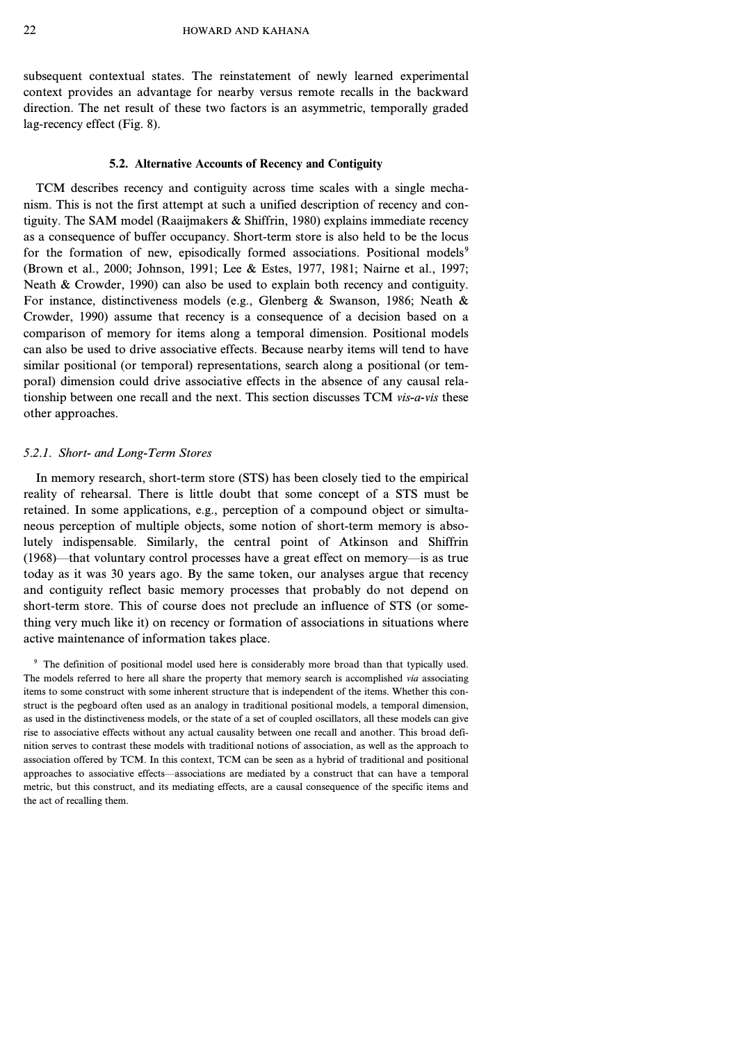subsequent contextual states. The reinstatement of newly learned experimental context provides an advantage for nearby versus remote recalls in the backward direction. The net result of these two factors is an asymmetric, temporally graded lag-recency effect (Fig. 8).

## **5.2. Alternative Accounts of Recency and Contiguity**

TCM describes recency and contiguity across time scales with a single mechanism. This is not the first attempt at such a unified description of recency and contiguity. The SAM model (Raaijmakers & Shiffrin, 1980) explains immediate recency as a consequence of buffer occupancy. Short-term store is also held to be the locus for the formation of new, episodically formed associations. Positional models<sup>9</sup> (Brown et al., 2000; Johnson, 1991; Lee & Estes, 1977, 1981; Nairne et al., 1997; Neath & Crowder, 1990) can also be used to explain both recency and contiguity. For instance, distinctiveness models (e.g., Glenberg & Swanson, 1986; Neath & Crowder, 1990) assume that recency is a consequence of a decision based on a comparison of memory for items along a temporal dimension. Positional models can also be used to drive associative effects. Because nearby items will tend to have similar positional (or temporal) representations, search along a positional (or temporal) dimension could drive associative effects in the absence of any causal relationship between one recall and the next. This section discusses TCM *vis-a-vis* these other approaches.

# *5.2.1. Short- and Long-Term Stores*

In memory research, short-term store (STS) has been closely tied to the empirical reality of rehearsal. There is little doubt that some concept of a STS must be retained. In some applications, e.g., perception of a compound object or simultaneous perception of multiple objects, some notion of short-term memory is absolutely indispensable. Similarly, the central point of Atkinson and Shiffrin (1968)—that voluntary control processes have a great effect on memory—is as true today as it was 30 years ago. By the same token, our analyses argue that recency and contiguity reflect basic memory processes that probably do not depend on short-term store. This of course does not preclude an influence of STS (or something very much like it) on recency or formation of associations in situations where active maintenance of information takes place.

<sup>9</sup> The definition of positional model used here is considerably more broad than that typically used. The models referred to here all share the property that memory search is accomplished *via* associating items to some construct with some inherent structure that is independent of the items. Whether this construct is the pegboard often used as an analogy in traditional positional models, a temporal dimension, as used in the distinctiveness models, or the state of a set of coupled oscillators, all these models can give rise to associative effects without any actual causality between one recall and another. This broad definition serves to contrast these models with traditional notions of association, as well as the approach to association offered by TCM. In this context, TCM can be seen as a hybrid of traditional and positional approaches to associative effects—associations are mediated by a construct that can have a temporal metric, but this construct, and its mediating effects, are a causal consequence of the specific items and the act of recalling them.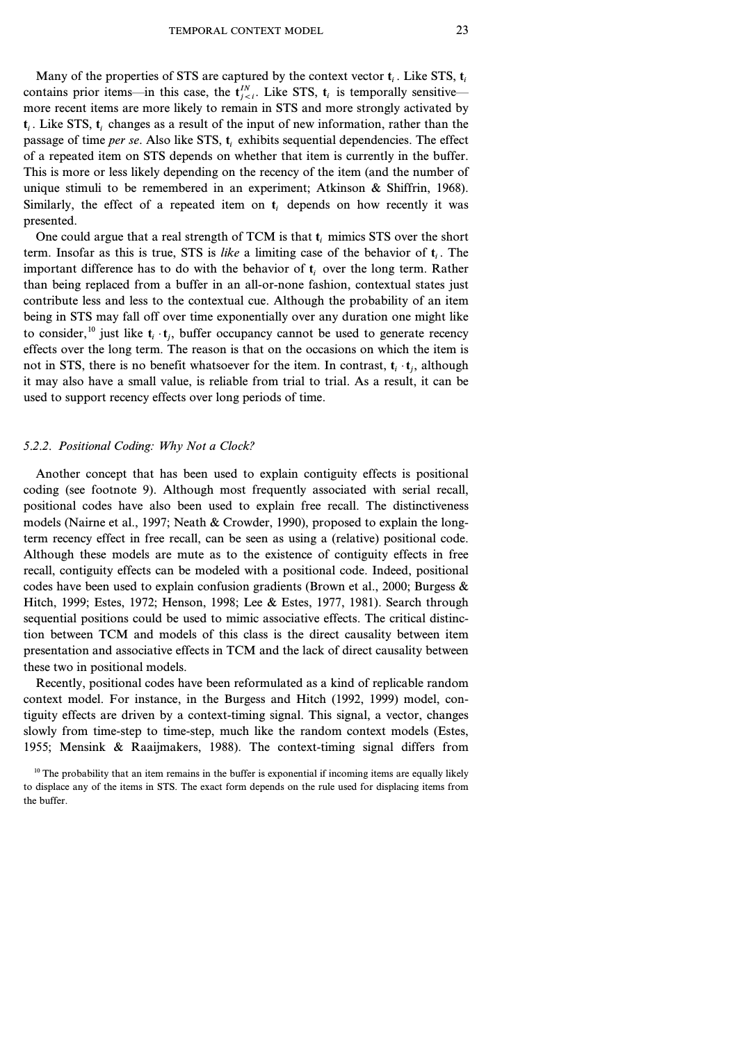Many of the properties of STS are captured by the context vector  $t_i$ . Like STS,  $t_i$ contains prior items—in this case, the  $t_{j \lt i}^{IN}$ . Like STS,  $t_i$  is temporally sensitive more recent items are more likely to remain in STS and more strongly activated by  $t_i$ . Like STS,  $t_i$  changes as a result of the input of new information, rather than the passage of time *per se*. Also like STS,  $t_i$  exhibits sequential dependencies. The effect of a repeated item on STS depends on whether that item is currently in the buffer. This is more or less likely depending on the recency of the item (and the number of unique stimuli to be remembered in an experiment; Atkinson & Shiffrin, 1968). Similarly, the effect of a repeated item on  $t_i$  depends on how recently it was presented.

One could argue that a real strength of  $TCM$  is that  $t_i$  mimics STS over the short term. Insofar as this is true, STS is *like* a limiting case of the behavior of  $t_i$ . The important difference has to do with the behavior of **t***<sup>i</sup>* over the long term. Rather than being replaced from a buffer in an all-or-none fashion, contextual states just contribute less and less to the contextual cue. Although the probability of an item being in STS may fall off over time exponentially over any duration one might like to consider,<sup>10</sup> just like  $t_i \cdot t_j$ , buffer occupancy cannot be used to generate recency effects over the long term. The reason is that on the occasions on which the item is not in STS, there is no benefit whatsoever for the item. In contrast,  $\mathbf{t}_i \cdot \mathbf{t}_i$ , although it may also have a small value, is reliable from trial to trial. As a result, it can be used to support recency effects over long periods of time.

#### *5.2.2. Positional Coding: Why Not a Clock?*

Another concept that has been used to explain contiguity effects is positional coding (see footnote 9). Although most frequently associated with serial recall, positional codes have also been used to explain free recall. The distinctiveness models (Nairne et al., 1997; Neath & Crowder, 1990), proposed to explain the longterm recency effect in free recall, can be seen as using a (relative) positional code. Although these models are mute as to the existence of contiguity effects in free recall, contiguity effects can be modeled with a positional code. Indeed, positional codes have been used to explain confusion gradients (Brown et al., 2000; Burgess  $\&$ Hitch, 1999; Estes, 1972; Henson, 1998; Lee & Estes, 1977, 1981). Search through sequential positions could be used to mimic associative effects. The critical distinction between TCM and models of this class is the direct causality between item presentation and associative effects in TCM and the lack of direct causality between these two in positional models.

Recently, positional codes have been reformulated as a kind of replicable random context model. For instance, in the Burgess and Hitch (1992, 1999) model, contiguity effects are driven by a context-timing signal. This signal, a vector, changes slowly from time-step to time-step, much like the random context models (Estes, 1955; Mensink & Raaijmakers, 1988). The context-timing signal differs from

<sup>&</sup>lt;sup>10</sup> The probability that an item remains in the buffer is exponential if incoming items are equally likely to displace any of the items in STS. The exact form depends on the rule used for displacing items from the buffer.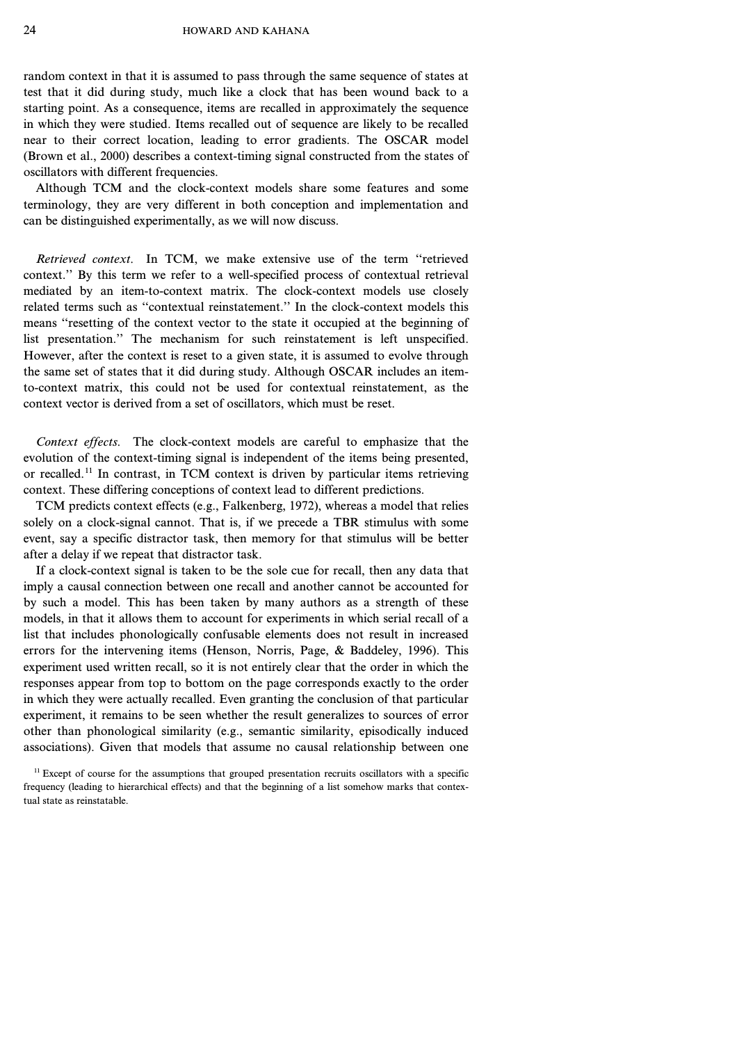random context in that it is assumed to pass through the same sequence of states at test that it did during study, much like a clock that has been wound back to a starting point. As a consequence, items are recalled in approximately the sequence in which they were studied. Items recalled out of sequence are likely to be recalled near to their correct location, leading to error gradients. The OSCAR model (Brown et al., 2000) describes a context-timing signal constructed from the states of oscillators with different frequencies.

Although TCM and the clock-context models share some features and some terminology, they are very different in both conception and implementation and can be distinguished experimentally, as we will now discuss.

*Retrieved context.* In TCM, we make extensive use of the term "retrieved context.'' By this term we refer to a well-specified process of contextual retrieval mediated by an item-to-context matrix. The clock-context models use closely related terms such as ''contextual reinstatement.'' In the clock-context models this means "resetting of the context vector to the state it occupied at the beginning of list presentation.'' The mechanism for such reinstatement is left unspecified. However, after the context is reset to a given state, it is assumed to evolve through the same set of states that it did during study. Although OSCAR includes an itemto-context matrix, this could not be used for contextual reinstatement, as the context vector is derived from a set of oscillators, which must be reset.

*Context effects.* The clock-context models are careful to emphasize that the evolution of the context-timing signal is independent of the items being presented, or recalled.<sup>11</sup> In contrast, in TCM context is driven by particular items retrieving context. These differing conceptions of context lead to different predictions.

TCM predicts context effects (e.g., Falkenberg, 1972), whereas a model that relies solely on a clock-signal cannot. That is, if we precede a TBR stimulus with some event, say a specific distractor task, then memory for that stimulus will be better after a delay if we repeat that distractor task.

Ifa clock-context signal is taken to be the sole cue for recall, then any data that imply a causal connection between one recall and another cannot be accounted for by such a model. This has been taken by many authors as a strength of these models, in that it allows them to account for experiments in which serial recall of a list that includes phonologically confusable elements does not result in increased errors for the intervening items (Henson, Norris, Page, & Baddeley, 1996). This experiment used written recall, so it is not entirely clear that the order in which the responses appear from top to bottom on the page corresponds exactly to the order in which they were actually recalled. Even granting the conclusion of that particular experiment, it remains to be seen whether the result generalizes to sources of error other than phonological similarity (e.g., semantic similarity, episodically induced associations). Given that models that assume no causal relationship between one

<sup>&</sup>lt;sup>11</sup> Except of course for the assumptions that grouped presentation recruits oscillators with a specific frequency (leading to hierarchical effects) and that the beginning of a list somehow marks that contextual state as reinstatable.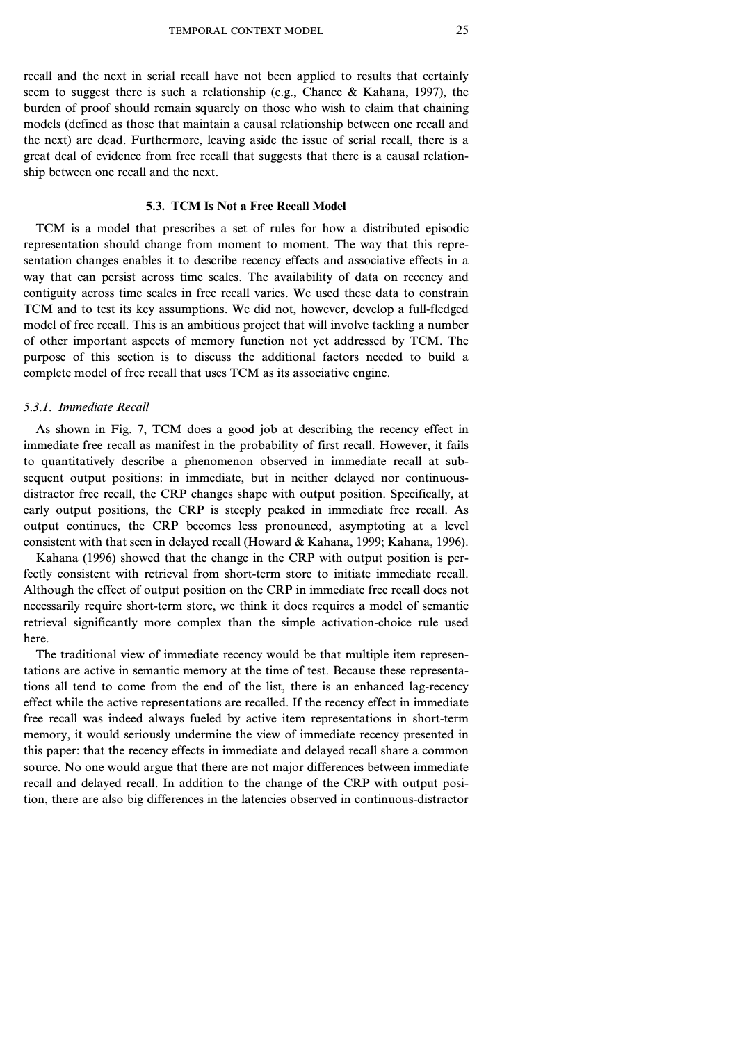recall and the next in serial recall have not been applied to results that certainly seem to suggest there is such a relationship (e.g., Chance & Kahana, 1997), the burden of proof should remain squarely on those who wish to claim that chaining models (defined as those that maintain a causal relationship between one recall and the next) are dead. Furthermore, leaving aside the issue of serial recall, there is a great deal of evidence from free recall that suggests that there is a causal relationship between one recall and the next.

# **5.3. TCM Is Not a Free Recall Model**

TCM is a model that prescribes a set of rules for how a distributed episodic representation should change from moment to moment. The way that this representation changes enables it to describe recency effects and associative effects in a way that can persist across time scales. The availability of data on recency and contiguity across time scales in free recall varies. We used these data to constrain TCM and to test its key assumptions. We did not, however, develop a full-fledged model of free recall. This is an ambitious project that will involve tackling a number of other important aspects of memory function not yet addressed by TCM. The purpose of this section is to discuss the additional factors needed to build a complete model of free recall that uses TCM as its associative engine.

#### *5.3.1. Immediate Recall*

As shown in Fig. 7, TCM does a good job at describing the recency effect in immediate free recall as manifest in the probability of first recall. However, it fails to quantitatively describe a phenomenon observed in immediate recall at subsequent output positions: in immediate, but in neither delayed nor continuousdistractor free recall, the CRP changes shape with output position. Specifically, at early output positions, the CRP is steeply peaked in immediate free recall. As output continues, the CRP becomes less pronounced, asymptoting at a level consistent with that seen in delayed recall (Howard & Kahana, 1999; Kahana, 1996).

Kahana (1996) showed that the change in the CRP with output position is perfectly consistent with retrieval from short-term store to initiate immediate recall. Although the effect of output position on the CRP in immediate free recall does not necessarily require short-term store, we think it does requires a model of semantic retrieval significantly more complex than the simple activation-choice rule used here.

The traditional view of immediate recency would be that multiple item representations are active in semantic memory at the time of test. Because these representations all tend to come from the end of the list, there is an enhanced lag-recency effect while the active representations are recalled. If the recency effect in immediate free recall was indeed always fueled by active item representations in short-term memory, it would seriously undermine the view of immediate recency presented in this paper: that the recency effects in immediate and delayed recall share a common source. No one would argue that there are not major differences between immediate recall and delayed recall. In addition to the change of the CRP with output position, there are also big differences in the latencies observed in continuous-distractor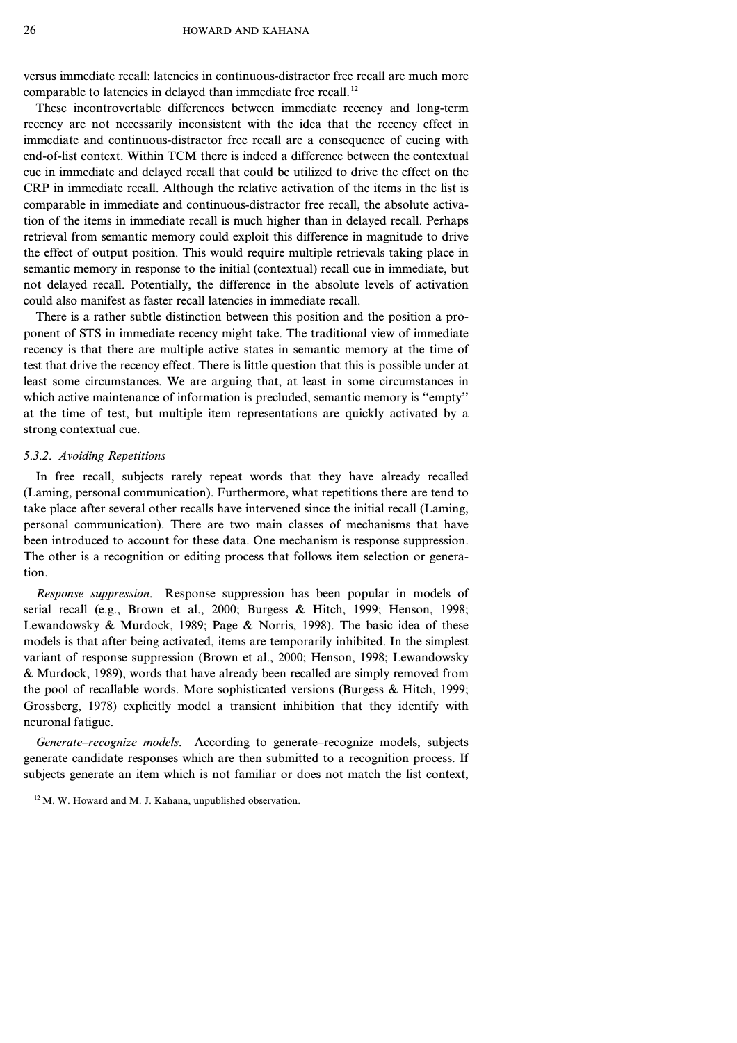versus immediate recall: latencies in continuous-distractor free recall are much more comparable to latencies in delayed than immediate free recall.<sup>12</sup>

These incontrovertable differences between immediate recency and long-term recency are not necessarily inconsistent with the idea that the recency effect in immediate and continuous-distractor free recall are a consequence of cueing with end-of-list context. Within TCM there is indeed a difference between the contextual cue in immediate and delayed recall that could be utilized to drive the effect on the CRP in immediate recall. Although the relative activation of the items in the list is comparable in immediate and continuous-distractor free recall, the absolute activation of the items in immediate recall is much higher than in delayed recall. Perhaps retrieval from semantic memory could exploit this difference in magnitude to drive the effect of output position. This would require multiple retrievals taking place in semantic memory in response to the initial (contextual) recall cue in immediate, but not delayed recall. Potentially, the difference in the absolute levels of activation could also manifest as faster recall latencies in immediate recall.

There is a rather subtle distinction between this position and the position a proponent of STS in immediate recency might take. The traditional view of immediate recency is that there are multiple active states in semantic memory at the time of test that drive the recency effect. There is little question that this is possible under at least some circumstances. We are arguing that, at least in some circumstances in which active maintenance of information is precluded, semantic memory is "empty" at the time of test, but multiple item representations are quickly activated by a strong contextual cue.

# *5.3.2. Avoiding Repetitions*

In free recall, subjects rarely repeat words that they have already recalled (Laming, personal communication). Furthermore, what repetitions there are tend to take place after several other recalls have intervened since the initial recall (Laming, personal communication). There are two main classes of mechanisms that have been introduced to account for these data. One mechanism is response suppression. The other is a recognition or editing process that follows item selection or generation.

*Response suppression.* Response suppression has been popular in models of serial recall (e.g., Brown et al., 2000; Burgess & Hitch, 1999; Henson, 1998; Lewandowsky & Murdock, 1989; Page & Norris, 1998). The basic idea of these models is that after being activated, items are temporarily inhibited. In the simplest variant of response suppression (Brown et al., 2000; Henson, 1998; Lewandowsky & Murdock, 1989), words that have already been recalled are simply removed from the pool of recallable words. More sophisticated versions (Burgess  $\&$  Hitch, 1999; Grossberg, 1978) explicitly model a transient inhibition that they identify with neuronal fatigue.

*Generate–recognize models.* According to generate–recognize models, subjects generate candidate responses which are then submitted to a recognition process. If subjects generate an item which is not familiar or does not match the list context,

<sup>12</sup> M. W. Howard and M. J. Kahana, unpublished observation.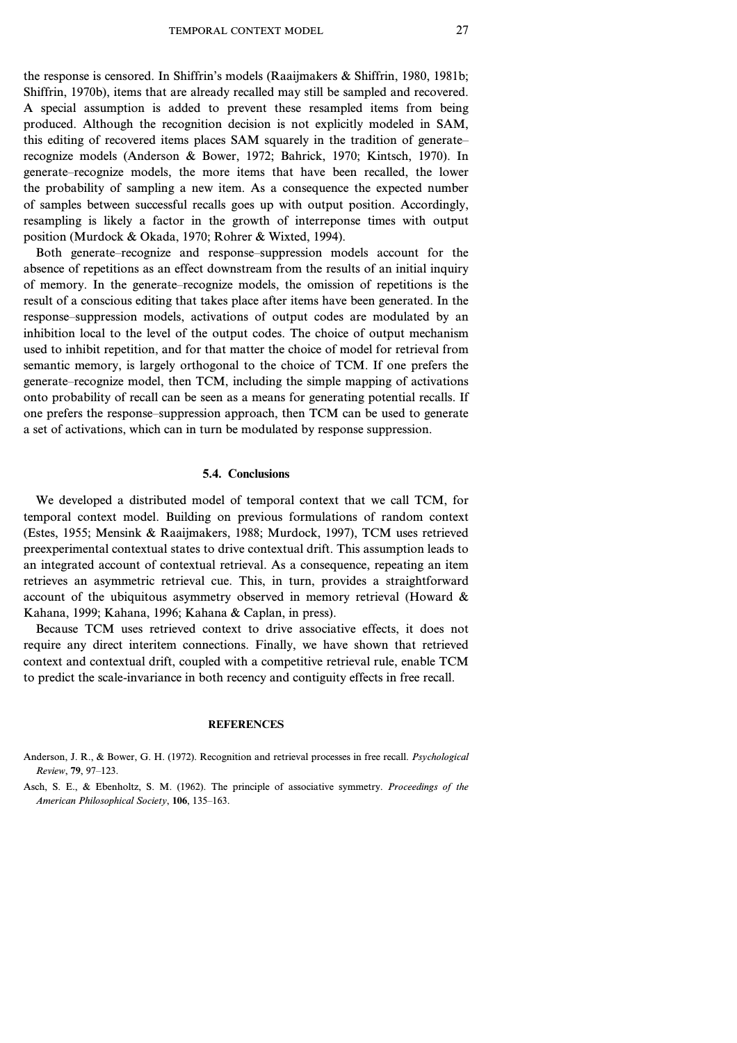the response is censored. In Shiffrin's models (Raaijmakers & Shiffrin, 1980, 1981b; Shiffrin, 1970b), items that are already recalled may still be sampled and recovered. A special assumption is added to prevent these resampled items from being produced. Although the recognition decision is not explicitly modeled in SAM, this editing of recovered items places SAM squarely in the tradition of generate– recognize models (Anderson & Bower, 1972; Bahrick, 1970; Kintsch, 1970). In generate–recognize models, the more items that have been recalled, the lower the probability of sampling a new item. As a consequence the expected number ofsamples between successful recalls goes up with output position. Accordingly, resampling is likely a factor in the growth of interreponse times with output position (Murdock & Okada, 1970; Rohrer & Wixted, 1994).

Both generate–recognize and response–suppression models account for the absence of repetitions as an effect downstream from the results of an initial inquiry of memory. In the generate–recognize models, the omission of repetitions is the result of a conscious editing that takes place after items have been generated. In the response–suppression models, activations of output codes are modulated by an inhibition local to the level of the output codes. The choice of output mechanism used to inhibit repetition, and for that matter the choice of model for retrieval from semantic memory, is largely orthogonal to the choice of TCM. If one prefers the generate–recognize model, then TCM, including the simple mapping of activations onto probability of recall can be seen as a means for generating potential recalls. If one prefers the response–suppression approach, then TCM can be used to generate a set of activations, which can in turn be modulated by response suppression.

# **5.4. Conclusions**

We developed a distributed model of temporal context that we call TCM, for temporal context model. Building on previous formulations of random context (Estes, 1955; Mensink & Raaijmakers, 1988; Murdock, 1997), TCM uses retrieved preexperimental contextual states to drive contextual drift. This assumption leads to an integrated account of contextual retrieval. As a consequence, repeating an item retrieves an asymmetric retrieval cue. This, in turn, provides a straightforward account of the ubiquitous asymmetry observed in memory retrieval (Howard  $\&$ Kahana, 1999; Kahana, 1996; Kahana & Caplan, in press).

Because TCM uses retrieved context to drive associative effects, it does not require any direct interitem connections. Finally, we have shown that retrieved context and contextual drift, coupled with a competitive retrieval rule, enable TCM to predict the scale-invariance in both recency and contiguity effects in free recall.

#### **REFERENCES**

- Anderson, J. R., & Bower, G. H. (1972). Recognition and retrieval processes in free recall. *Psychological Review*, **79**, 97–123.
- Asch, S. E., & Ebenholtz, S. M. (1962). The principle of associative symmetry. *Proceedings of the American Philosophical Society*, **106**, 135–163.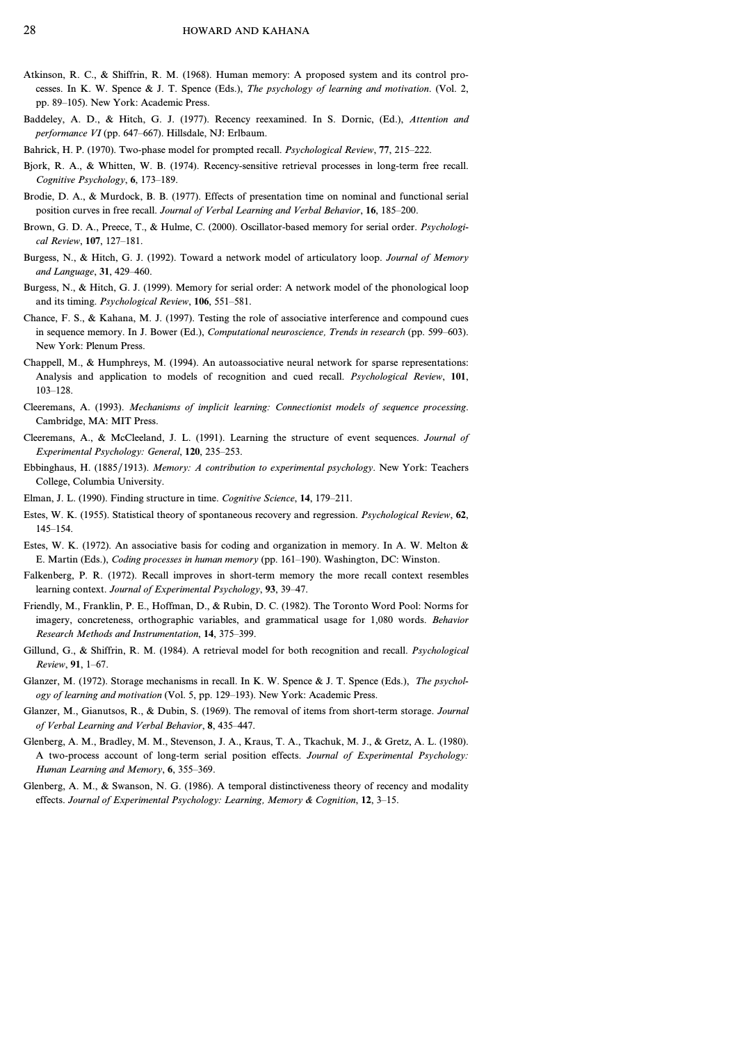- Atkinson, R. C., & Shiffrin, R. M. (1968). Human memory: A proposed system and its control processes. In K. W. Spence & J. T. Spence (Eds.), *The psychology of learning and motivation*. (Vol. 2, pp. 89–105). New York: Academic Press.
- Baddeley, A. D., & Hitch, G. J. (1977). Recency reexamined. In S. Dornic, (Ed.), *Attention and performance VI* (pp. 647–667). Hillsdale, NJ: Erlbaum.
- Bahrick, H. P. (1970). Two-phase model for prompted recall. *Psychological Review*, **77**, 215–222.
- Bjork, R. A., & Whitten, W. B. (1974). Recency-sensitive retrieval processes in long-term free recall. *Cognitive Psychology*, **6**, 173–189.
- Brodie, D. A., & Murdock, B. B. (1977). Effects of presentation time on nominal and functional serial position curves in free recall. *Journal of Verbal Learning and Verbal Behavior*, **16**, 185–200.
- Brown, G. D. A., Preece, T., & Hulme, C. (2000). Oscillator-based memory for serial order. *Psychological Review*, **107**, 127–181.
- Burgess, N., & Hitch, G. J. (1992). Toward a network model of articulatory loop. *Journal of Memory and Language*, **31**, 429–460.
- Burgess, N., & Hitch, G. J. (1999). Memory for serial order: A network model of the phonological loop and its timing. *Psychological Review*, **106**, 551–581.
- Chance, F. S., & Kahana, M. J. (1997). Testing the role of associative interference and compound cues in sequence memory. In J. Bower (Ed.), *Computational neuroscience, Trends in research* (pp. 599–603). New York: Plenum Press.
- Chappell, M., & Humphreys, M. (1994). An autoassociative neural network for sparse representations: Analysis and application to models of recognition and cued recall. *Psychological Review*, 101, 103–128.
- Cleeremans, A. (1993). *Mechanisms of implicit learning: Connectionist models of sequence processing*. Cambridge, MA: MIT Press.
- Cleeremans, A., & McCleeland, J. L. (1991). Learning the structure ofevent sequences. *Journal of Experimental Psychology: General*, **120**, 235–253.
- Ebbinghaus, H. (1885/1913). *Memory: A contribution to experimental psychology*. New York: Teachers College, Columbia University.
- Elman, J. L. (1990). Finding structure in time. *Cognitive Science*, **14**, 179–211.
- Estes, W. K. (1955). Statistical theory of spontaneous recovery and regression. *Psychological Review*, 62, 145–154.
- Estes, W. K. (1972). An associative basis for coding and organization in memory. In A. W. Melton & E. Martin (Eds.), *Coding processes in human memory* (pp. 161–190). Washington, DC: Winston.
- Falkenberg, P. R. (1972). Recall improves in short-term memory the more recall context resembles learning context. *Journal of Experimental Psychology*, **93**, 39–47.
- Friendly, M., Franklin, P. E., Hoffman, D., & Rubin, D. C. (1982). The Toronto Word Pool: Norms for imagery, concreteness, orthographic variables, and grammatical usage for 1,080 words. *Behavior Research Methods and Instrumentation*, **14**, 375–399.
- Gillund, G., & Shiffrin, R. M. (1984). A retrieval model for both recognition and recall. *Psychological Review*, **91**, 1–67.
- Glanzer, M. (1972). Storage mechanisms in recall. In K. W. Spence & J. T. Spence (Eds.), *The psychology of learning and motivation* (Vol. 5, pp. 129–193). New York: Academic Press.
- Glanzer, M., Gianutsos, R., & Dubin, S. (1969). The removal ofitems from short-term storage. *Journal of Verbal Learning and Verbal Behavior*, **8**, 435–447.
- Glenberg, A. M., Bradley, M. M., Stevenson, J. A., Kraus, T. A., Tkachuk, M. J., & Gretz, A. L. (1980). A two-process account of long-term serial position effects. *Journal of Experimental Psychology: Human Learning and Memory*, **6**, 355–369.
- Glenberg, A. M., & Swanson, N. G. (1986). A temporal distinctiveness theory of recency and modality effects. *Journal of Experimental Psychology: Learning, Memory & Cognition*, **12**, 3–15.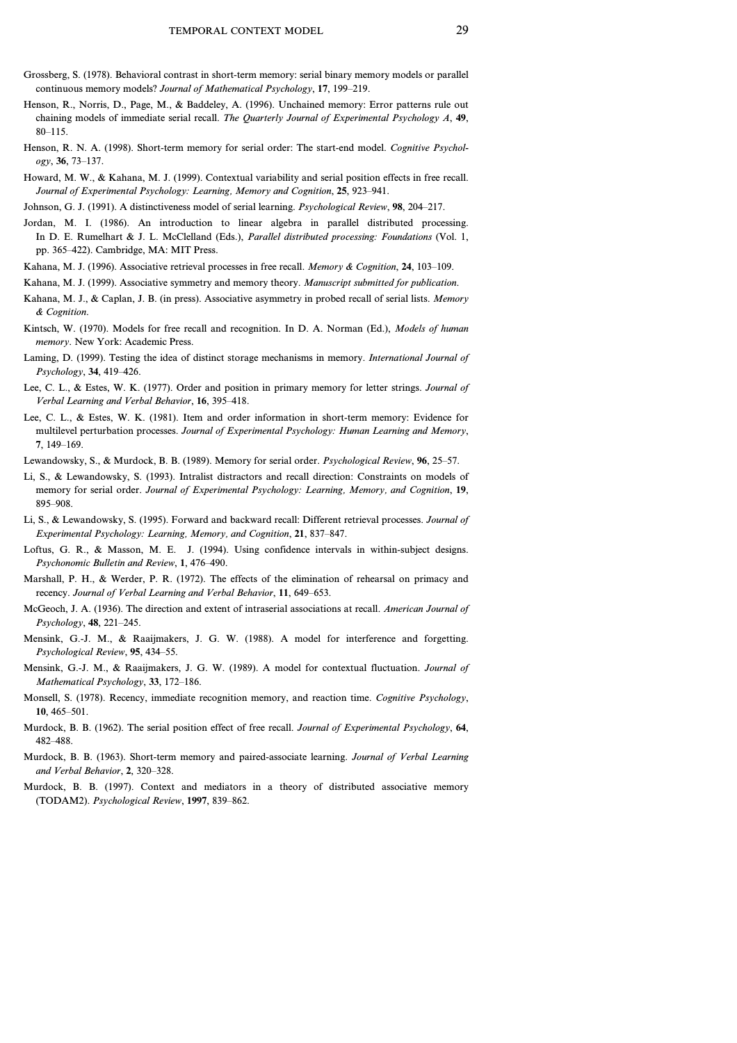- Grossberg, S. (1978). Behavioral contrast in short-term memory: serial binary memory models or parallel continuous memory models? *Journal of Mathematical Psychology*, **17**, 199–219.
- Henson, R., Norris, D., Page, M., & Baddeley, A. (1996). Unchained memory: Error patterns rule out chaining models ofimmediate serial recall. *The Quarterly Journal of Experimental Psychology A*, **49**, 80–115.
- Henson, R. N. A. (1998). Short-term memory for serial order: The start-end model. *Cognitive Psychology*, **36**, 73–137.
- Howard, M. W., & Kahana, M. J. (1999). Contextual variability and serial position effects in free recall. *Journal of Experimental Psychology: Learning, Memory and Cognition*, **25**, 923–941.
- Johnson, G. J. (1991). A distinctiveness model of serial learning. *Psychological Review*, 98, 204–217.
- Jordan, M. I. (1986). An introduction to linear algebra in parallel distributed processing. In D. E. Rumelhart & J. L. McClelland (Eds.), *Parallel distributed processing: Foundations* (Vol. 1, pp. 365–422). Cambridge, MA: MIT Press.
- Kahana, M. J. (1996). Associative retrieval processes in free recall. *Memory & Cognition*, **24**, 103–109.
- Kahana, M. J. (1999). Associative symmetry and memory theory. *Manuscript submitted for publication*.
- Kahana, M. J., & Caplan, J. B. (in press). Associative asymmetry in probed recall of serial lists. *Memory & Cognition*.
- Kintsch, W. (1970). Models for free recall and recognition. In D. A. Norman (Ed.), *Models of human memory*. New York: Academic Press.
- Laming, D. (1999). Testing the idea of distinct storage mechanisms in memory. *International Journal of Psychology*, **34**, 419–426.
- Lee, C. L., & Estes, W. K. (1977). Order and position in primary memory for letter strings. *Journal of Verbal Learning and Verbal Behavior*, **16**, 395–418.
- Lee, C. L., & Estes, W. K. (1981). Item and order information in short-term memory: Evidence for multilevel perturbation processes. *Journal of Experimental Psychology: Human Learning and Memory*, **7**, 149–169.
- Lewandowsky, S., & Murdock, B. B. (1989). Memory for serial order. *Psychological Review*, **96**, 25–57.
- Li, S., & Lewandowsky, S. (1993). Intralist distractors and recall direction: Constraints on models of memory for serial order. *Journal of Experimental Psychology: Learning, Memory, and Cognition*, **19**, 895–908.
- Li, S., & Lewandowsky, S. (1995). Forward and backward recall: Different retrieval processes. *Journal of Experimental Psychology: Learning, Memory, and Cognition*, **21**, 837–847.
- Loftus, G. R., & Masson, M. E. J. (1994). Using confidence intervals in within-subject designs. *Psychonomic Bulletin and Review*, **1**, 476–490.
- Marshall, P. H., & Werder, P. R. (1972). The effects of the elimination of rehearsal on primacy and recency. *Journal of Verbal Learning and Verbal Behavior*, **11**, 649–653.
- McGeoch, J. A. (1936). The direction and extent of intraserial associations at recall. *American Journal of Psychology*, **48**, 221–245.
- Mensink, G.-J. M., & Raaijmakers, J. G. W. (1988). A model for interference and forgetting. *Psychological Review*, **95**, 434–55.
- Mensink, G.-J. M., & Raaijmakers, J. G. W. (1989). A model for contextual fluctuation. *Journal of Mathematical Psychology*, **33**, 172–186.
- Monsell, S. (1978). Recency, immediate recognition memory, and reaction time. *Cognitive Psychology*, **10**, 465–501.
- Murdock, B. B. (1962). The serial position effect of free recall. *Journal of Experimental Psychology*, **64**, 482–488.
- Murdock, B. B. (1963). Short-term memory and paired-associate learning. *Journal of Verbal Learning and Verbal Behavior*, **2**, 320–328.
- Murdock, B. B. (1997). Context and mediators in a theory of distributed associative memory (TODAM2). *Psychological Review*, **1997**, 839–862.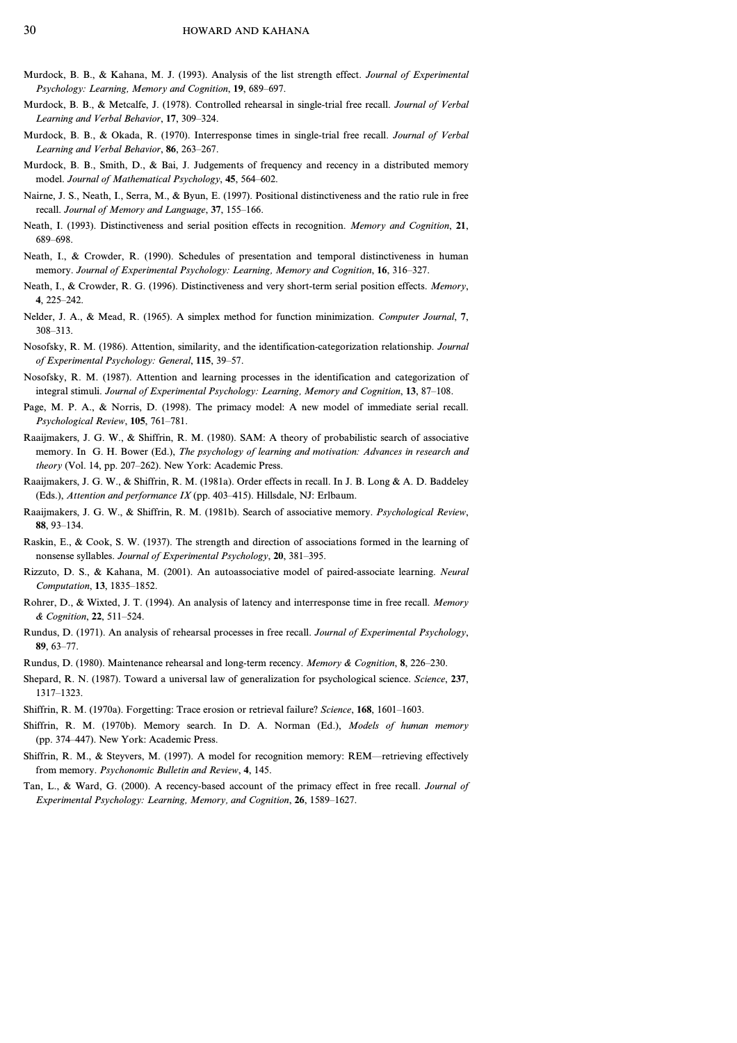- Murdock, B. B., & Kahana, M. J. (1993). Analysis of the list strength effect. *Journal of Experimental Psychology: Learning, Memory and Cognition*, **19**, 689–697.
- Murdock, B. B., & Metcalfe, J. (1978). Controlled rehearsal in single-trial free recall. *Journal of Verbal Learning and Verbal Behavior*, **17**, 309–324.
- Murdock, B. B., & Okada, R. (1970). Interresponse times in single-trial free recall. *Journal of Verbal Learning and Verbal Behavior*, **86**, 263–267.
- Murdock, B. B., Smith, D., & Bai, J. Judgements of frequency and recency in a distributed memory model. *Journal of Mathematical Psychology*, **45**, 564–602.
- Nairne, J. S., Neath, I., Serra, M., & Byun, E. (1997). Positional distinctiveness and the ratio rule in free recall. *Journal of Memory and Language*, **37**, 155–166.
- Neath, I. (1993). Distinctiveness and serial position effects in recognition. *Memory and Cognition*, **21**, 689–698.
- Neath, I., & Crowder, R. (1990). Schedules of presentation and temporal distinctiveness in human memory. *Journal of Experimental Psychology: Learning, Memory and Cognition*, **16**, 316–327.
- Neath, I., & Crowder, R. G. (1996). Distinctiveness and very short-term serial position effects. *Memory*, **4**, 225–242.
- Nelder, J. A., & Mead, R. (1965). A simplex method for function minimization. *Computer Journal*, **7**, 308–313.
- Nosofsky, R. M. (1986). Attention, similarity, and the identification-categorization relationship. *Journal of Experimental Psychology: General*, **115**, 39–57.
- Nosofsky, R. M. (1987). Attention and learning processes in the identification and categorization of integral stimuli. *Journal of Experimental Psychology: Learning, Memory and Cognition*, **13**, 87–108.
- Page, M. P. A., & Norris, D. (1998). The primacy model: A new model of immediate serial recall. *Psychological Review*, **105**, 761–781.
- Raaijmakers, J. G. W., & Shiffrin, R. M. (1980). SAM: A theory of probabilistic search of associative memory. In G. H. Bower (Ed.), *The psychology of learning and motivation: Advances in research and theory* (Vol. 14, pp. 207–262). New York: Academic Press.
- Raaijmakers, J. G. W., & Shiffrin, R. M. (1981a). Order effects in recall. In J. B. Long & A. D. Baddeley (Eds.), *Attention and performance IX* (pp. 403–415). Hillsdale, NJ: Erlbaum.
- Raaijmakers, J. G. W., & Shiffrin, R. M. (1981b). Search of associative memory. *Psychological Review*, **88**, 93–134.
- Raskin, E., & Cook, S. W. (1937). The strength and direction of associations formed in the learning of nonsense syllables. *Journal of Experimental Psychology*, **20**, 381–395.
- Rizzuto, D. S., & Kahana, M. (2001). An autoassociative model of paired-associate learning. *Neural Computation*, **13**, 1835–1852.
- Rohrer, D., & Wixted, J. T. (1994). An analysis of latency and interresponse time in free recall. *Memory & Cognition*, **22**, 511–524.
- Rundus, D. (1971). An analysis ofrehearsal processes in free recall. *Journal of Experimental Psychology*, **89**, 63–77.
- Rundus, D. (1980). Maintenance rehearsal and long-term recency. *Memory & Cognition*, **8**, 226–230.
- Shepard, R. N. (1987). Toward a universal law of generalization for psychological science. *Science*, 237, 1317–1323.
- Shiffrin, R. M. (1970a). Forgetting: Trace erosion or retrieval failure? *Science*, **168**, 1601–1603.
- Shiffrin, R. M. (1970b). Memory search. In D. A. Norman (Ed.), *Models of human memory* (pp. 374–447). New York: Academic Press.
- Shiffrin, R. M., & Steyvers, M. (1997). A model for recognition memory: REM—retrieving effectively from memory. *Psychonomic Bulletin and Review*, **4**, 145.
- Tan, L., & Ward, G. (2000). A recency-based account of the primacy effect in free recall. *Journal of Experimental Psychology: Learning, Memory, and Cognition*, **26**, 1589–1627.